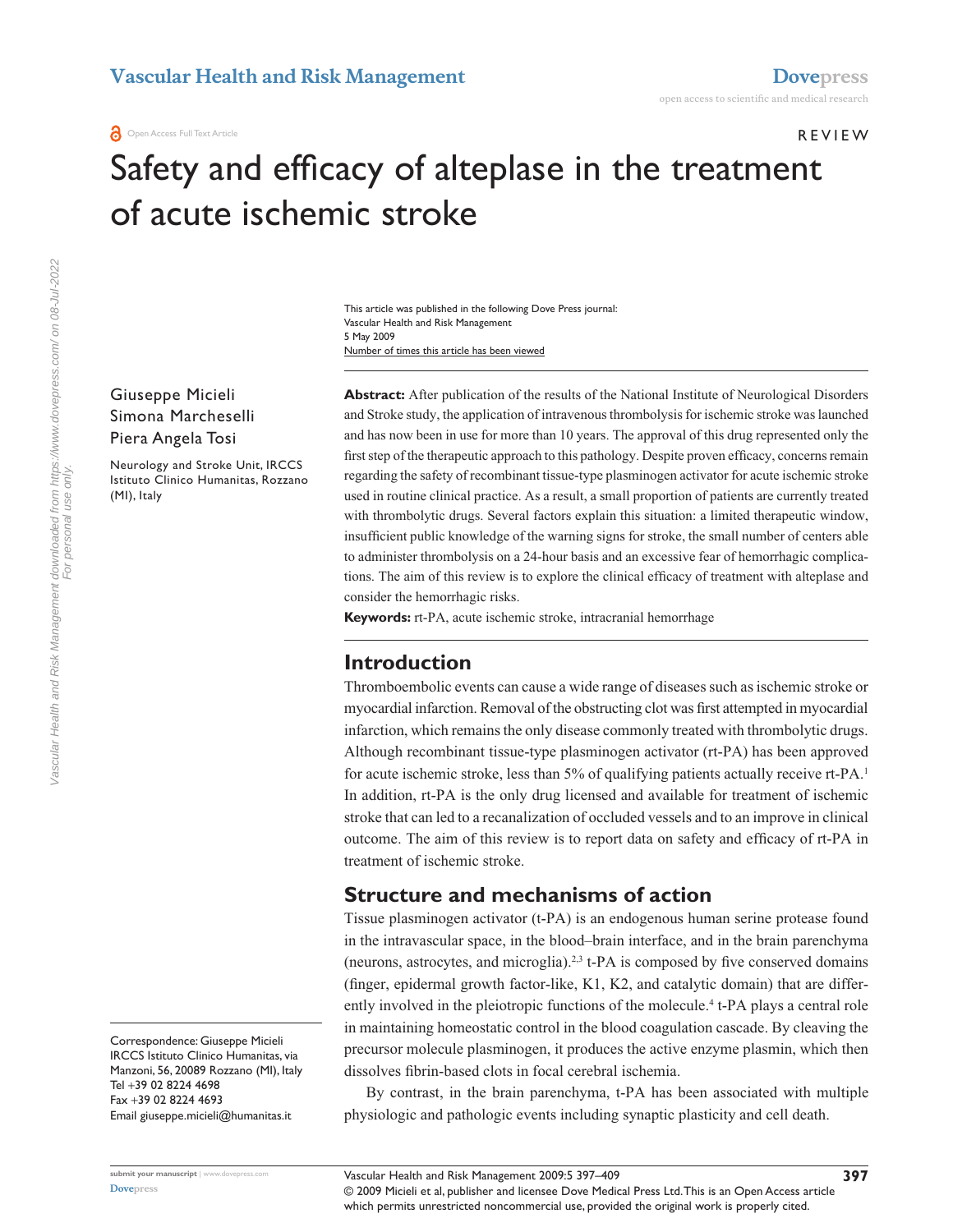#### r e v i e w

# Safety and efficacy of alteplase in the treatment of acute ischemic stroke

Number of times this article has been viewed This article was published in the following Dove Press journal: Vascular Health and Risk Management 5 May 2009

Giuseppe Micieli Simona Marcheselli Piera Angela Tosi

Neurology and Stroke Unit, IRCCS Istituto Clinico Humanitas, Rozzano (MI), Italy

**Abstract:** After publication of the results of the National Institute of Neurological Disorders and Stroke study, the application of intravenous thrombolysis for ischemic stroke was launched and has now been in use for more than 10 years. The approval of this drug represented only the first step of the therapeutic approach to this pathology. Despite proven efficacy, concerns remain regarding the safety of recombinant tissue-type plasminogen activator for acute ischemic stroke used in routine clinical practice. As a result, a small proportion of patients are currently treated with thrombolytic drugs. Several factors explain this situation: a limited therapeutic window, insufficient public knowledge of the warning signs for stroke, the small number of centers able to administer thrombolysis on a 24-hour basis and an excessive fear of hemorrhagic complications. The aim of this review is to explore the clinical efficacy of treatment with alteplase and consider the hemorrhagic risks.

**Keywords:** rt-PA, acute ischemic stroke, intracranial hemorrhage

# **Introduction**

Thromboembolic events can cause a wide range of diseases such as ischemic stroke or myocardial infarction. Removal of the obstructing clot was first attempted in myocardial infarction, which remains the only disease commonly treated with thrombolytic drugs. Although recombinant tissue-type plasminogen activator (rt-PA) has been approved for acute ischemic stroke, less than 5% of qualifying patients actually receive rt-PA.<sup>1</sup> In addition, rt-PA is the only drug licensed and available for treatment of ischemic stroke that can led to a recanalization of occluded vessels and to an improve in clinical outcome. The aim of this review is to report data on safety and efficacy of rt-PA in treatment of ischemic stroke.

## **Structure and mechanisms of action**

Tissue plasminogen activator (t-PA) is an endogenous human serine protease found in the intravascular space, in the blood–brain interface, and in the brain parenchyma (neurons, astrocytes, and microglia).2,3 t-PA is composed by five conserved domains (finger, epidermal growth factor-like, K1, K2, and catalytic domain) that are differently involved in the pleiotropic functions of the molecule.<sup>4</sup> t-PA plays a central role in maintaining homeostatic control in the blood coagulation cascade. By cleaving the precursor molecule plasminogen, it produces the active enzyme plasmin, which then dissolves fibrin-based clots in focal cerebral ischemia.

By contrast, in the brain parenchyma, t-PA has been associated with multiple physiologic and pathologic events including synaptic plasticity and cell death.

Correspondence: Giuseppe Micieli IRCCS Istituto Clinico Humanitas, via Manzoni, 56, 20089 Rozzano (MI), Italy Tel +39 02 8224 4698 Fax +39 02 8224 4693 Email giuseppe.micieli@humanitas.it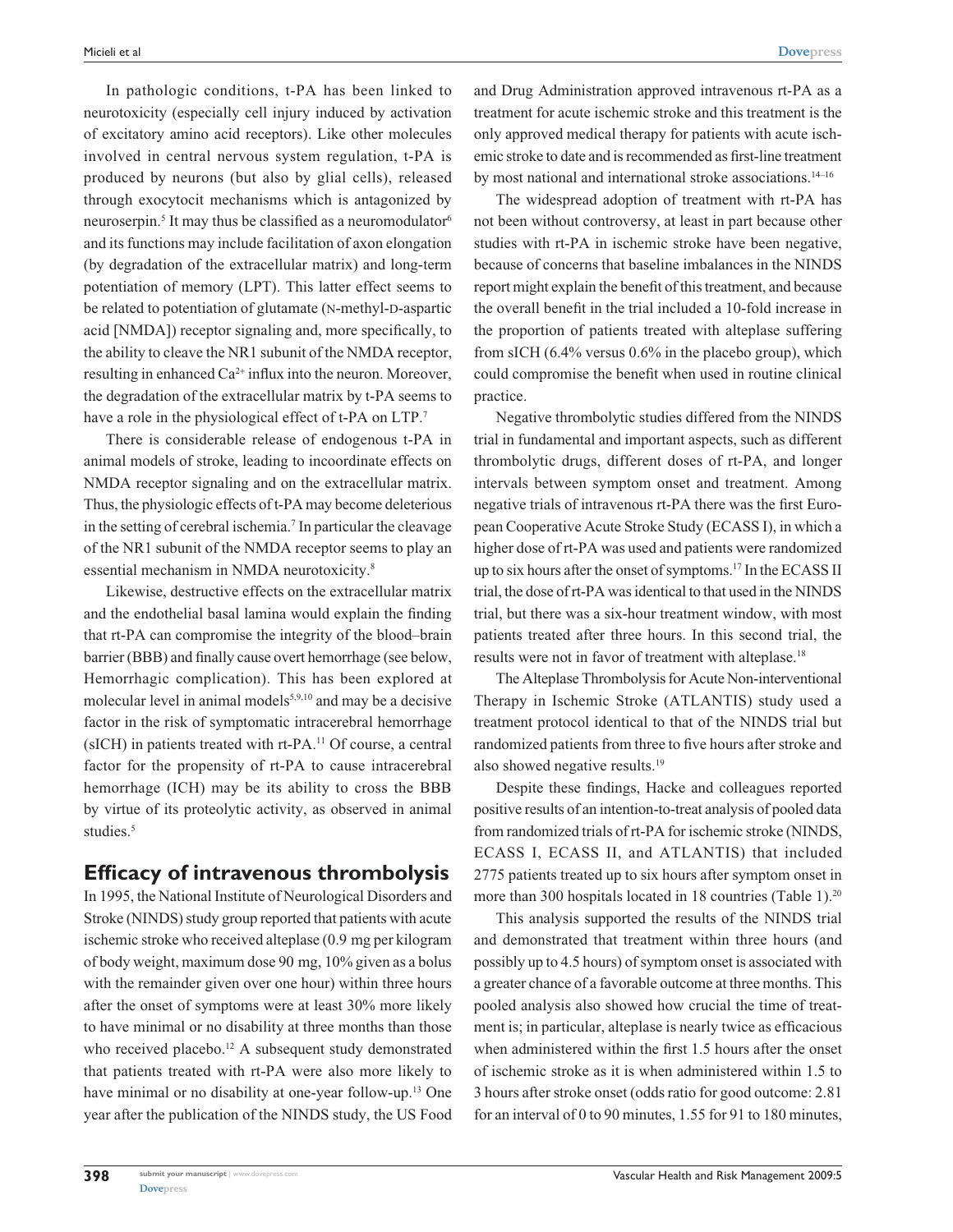In pathologic conditions, t-PA has been linked to neurotoxicity (especially cell injury induced by activation of excitatory amino acid receptors). Like other molecules involved in central nervous system regulation, t-PA is produced by neurons (but also by glial cells), released through exocytocit mechanisms which is antagonized by neuroserpin.<sup>5</sup> It may thus be classified as a neuromodulator<sup>6</sup> and its functions may include facilitation of axon elongation (by degradation of the extracellular matrix) and long-term potentiation of memory (LPT). This latter effect seems to be related to potentiation of glutamate (N-methyl-D-aspartic acid [NMDA]) receptor signaling and, more specifically, to the ability to cleave the NR1 subunit of the NMDA receptor, resulting in enhanced  $Ca^{2+}$  influx into the neuron. Moreover, the degradation of the extracellular matrix by t-PA seems to have a role in the physiological effect of t-PA on LTP.<sup>7</sup>

There is considerable release of endogenous t-PA in animal models of stroke, leading to incoordinate effects on NMDA receptor signaling and on the extracellular matrix. Thus, the physiologic effects of t-PA may become deleterious in the setting of cerebral ischemia.<sup>7</sup> In particular the cleavage of the NR1 subunit of the NMDA receptor seems to play an essential mechanism in NMDA neurotoxicity.8

Likewise, destructive effects on the extracellular matrix and the endothelial basal lamina would explain the finding that rt-PA can compromise the integrity of the blood–brain barrier (BBB) and finally cause overt hemorrhage (see below, Hemorrhagic complication). This has been explored at molecular level in animal models<sup>5,9,10</sup> and may be a decisive factor in the risk of symptomatic intracerebral hemorrhage (sICH) in patients treated with rt-PA.11 Of course, a central factor for the propensity of rt-PA to cause intracerebral hemorrhage (ICH) may be its ability to cross the BBB by virtue of its proteolytic activity, as observed in animal studies.<sup>5</sup>

## **Efficacy of intravenous thrombolysis**

In 1995, the National Institute of Neurological Disorders and Stroke (NINDS) study group reported that patients with acute ischemic stroke who received alteplase (0.9 mg per kilogram of body weight, maximum dose 90 mg, 10% given as a bolus with the remainder given over one hour) within three hours after the onset of symptoms were at least 30% more likely to have minimal or no disability at three months than those who received placebo.<sup>12</sup> A subsequent study demonstrated that patients treated with rt-PA were also more likely to have minimal or no disability at one-year follow-up.<sup>13</sup> One year after the publication of the NINDS study, the US Food and Drug Administration approved intravenous rt-PA as a treatment for acute ischemic stroke and this treatment is the only approved medical therapy for patients with acute ischemic stroke to date and is recommended as first-line treatment by most national and international stroke associations.<sup>14–16</sup>

The widespread adoption of treatment with rt-PA has not been without controversy, at least in part because other studies with rt-PA in ischemic stroke have been negative, because of concerns that baseline imbalances in the NINDS report might explain the benefit of this treatment, and because the overall benefit in the trial included a 10-fold increase in the proportion of patients treated with alteplase suffering from sICH (6.4% versus 0.6% in the placebo group), which could compromise the benefit when used in routine clinical practice.

Negative thrombolytic studies differed from the NINDS trial in fundamental and important aspects, such as different thrombolytic drugs, different doses of rt-PA, and longer intervals between symptom onset and treatment. Among negative trials of intravenous rt-PA there was the first European Cooperative Acute Stroke Study (ECASS I), in which a higher dose of rt-PA was used and patients were randomized up to six hours after the onset of symptoms.17 In the ECASS II trial, the dose of rt-PA was identical to that used in the NINDS trial, but there was a six-hour treatment window, with most patients treated after three hours. In this second trial, the results were not in favor of treatment with alteplase.<sup>18</sup>

The Alteplase Thrombolysis for Acute Non-interventional Therapy in Ischemic Stroke (ATLANTIS) study used a treatment protocol identical to that of the NINDS trial but randomized patients from three to five hours after stroke and also showed negative results.19

Despite these findings, Hacke and colleagues reported positive results of an intention-to-treat analysis of pooled data from randomized trials of rt-PA for ischemic stroke (NINDS, ECASS I, ECASS II, and ATLANTIS) that included 2775 patients treated up to six hours after symptom onset in more than 300 hospitals located in 18 countries (Table 1).<sup>20</sup>

This analysis supported the results of the NINDS trial and demonstrated that treatment within three hours (and possibly up to 4.5 hours) of symptom onset is associated with a greater chance of a favorable outcome at three months. This pooled analysis also showed how crucial the time of treatment is; in particular, alteplase is nearly twice as efficacious when administered within the first 1.5 hours after the onset of ischemic stroke as it is when administered within 1.5 to 3 hours after stroke onset (odds ratio for good outcome: 2.81 for an interval of 0 to 90 minutes, 1.55 for 91 to 180 minutes,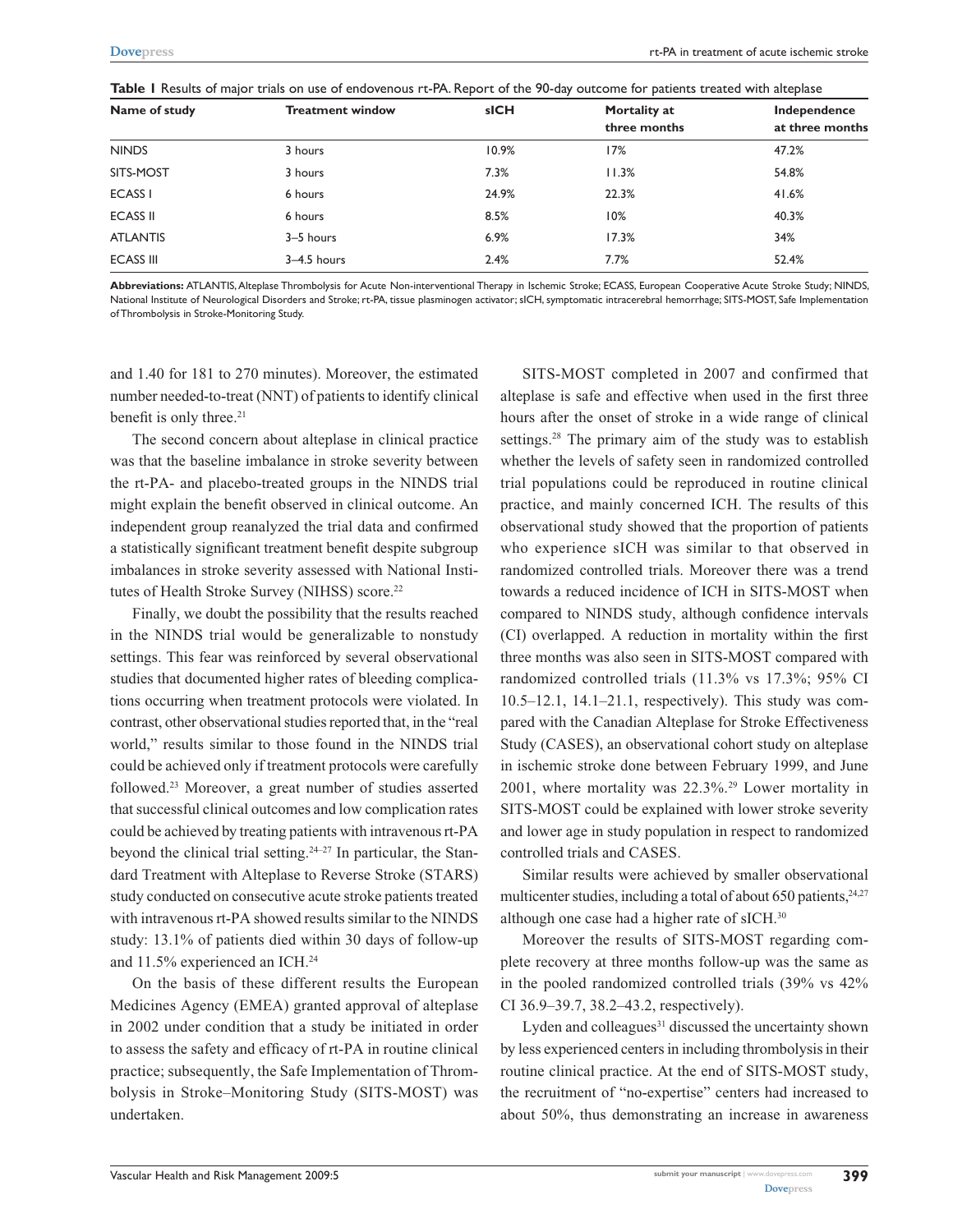|  |  |  | <b>Table I</b> Results of major trials on use of endovenous rt-PA. Report of the 90-day outcome for patients treated with alteplase |  |  |  |  |
|--|--|--|-------------------------------------------------------------------------------------------------------------------------------------|--|--|--|--|
|--|--|--|-------------------------------------------------------------------------------------------------------------------------------------|--|--|--|--|

| Name of study    | <b>Treatment window</b> | sICH  | Mortality at | Independence    |
|------------------|-------------------------|-------|--------------|-----------------|
|                  |                         |       | three months | at three months |
| <b>NINDS</b>     | 3 hours                 | 10.9% | 17%          | 47.2%           |
| SITS-MOST        | 3 hours                 | 7.3%  | 11.3%        | 54.8%           |
| <b>ECASS I</b>   | 6 hours                 | 24.9% | 22.3%        | 41.6%           |
| <b>ECASS II</b>  | 6 hours                 | 8.5%  | 10%          | 40.3%           |
| <b>ATLANTIS</b>  | 3-5 hours               | 6.9%  | 17.3%        | 34%             |
| <b>ECASS III</b> | $3-4.5$ hours           | 2.4%  | 7.7%         | 52.4%           |

**Abbreviations:** ATLANTIS, Alteplase Thrombolysis for Acute Non-interventional Therapy in Ischemic Stroke; ECASS, European Cooperative Acute Stroke Study; NINDS, National Institute of Neurological Disorders and Stroke; rt-PA, tissue plasminogen activator; sICH, symptomatic intracerebral hemorrhage; SITS-MOST, Safe Implementation of Thrombolysis in Stroke-Monitoring Study.

and 1.40 for 181 to 270 minutes). Moreover, the estimated number needed-to-treat (NNT) of patients to identify clinical benefit is only three.<sup>21</sup>

The second concern about alteplase in clinical practice was that the baseline imbalance in stroke severity between the rt-PA- and placebo-treated groups in the NINDS trial might explain the benefit observed in clinical outcome. An independent group reanalyzed the trial data and confirmed a statistically significant treatment benefit despite subgroup imbalances in stroke severity assessed with National Institutes of Health Stroke Survey (NIHSS) score.<sup>22</sup>

Finally, we doubt the possibility that the results reached in the NINDS trial would be generalizable to nonstudy settings. This fear was reinforced by several observational studies that documented higher rates of bleeding complications occurring when treatment protocols were violated. In contrast, other observational studies reported that, in the "real world," results similar to those found in the NINDS trial could be achieved only if treatment protocols were carefully followed.23 Moreover, a great number of studies asserted that successful clinical outcomes and low complication rates could be achieved by treating patients with intravenous rt-PA beyond the clinical trial setting.<sup>24–27</sup> In particular, the Standard Treatment with Alteplase to Reverse Stroke (STARS) study conducted on consecutive acute stroke patients treated with intravenous rt-PA showed results similar to the NINDS study: 13.1% of patients died within 30 days of follow-up and 11.5% experienced an ICH.24

On the basis of these different results the European Medicines Agency (EMEA) granted approval of alteplase in 2002 under condition that a study be initiated in order to assess the safety and efficacy of rt-PA in routine clinical practice; subsequently, the Safe Implementation of Thrombolysis in Stroke–Monitoring Study (SITS-MOST) was undertaken.

SITS-MOST completed in 2007 and confirmed that alteplase is safe and effective when used in the first three hours after the onset of stroke in a wide range of clinical settings.<sup>28</sup> The primary aim of the study was to establish whether the levels of safety seen in randomized controlled trial populations could be reproduced in routine clinical practice, and mainly concerned ICH. The results of this observational study showed that the proportion of patients who experience sICH was similar to that observed in randomized controlled trials. Moreover there was a trend towards a reduced incidence of ICH in SITS-MOST when compared to NINDS study, although confidence intervals (CI) overlapped. A reduction in mortality within the first three months was also seen in SITS-MOST compared with randomized controlled trials (11.3% vs 17.3%; 95% CI 10.5–12.1, 14.1–21.1, respectively). This study was compared with the Canadian Alteplase for Stroke Effectiveness Study (CASES), an observational cohort study on alteplase in ischemic stroke done between February 1999, and June 2001, where mortality was 22.3%.29 Lower mortality in SITS-MOST could be explained with lower stroke severity and lower age in study population in respect to randomized controlled trials and CASES.

Similar results were achieved by smaller observational multicenter studies, including a total of about 650 patients, <sup>24,27</sup> although one case had a higher rate of sICH.30

Moreover the results of SITS-MOST regarding complete recovery at three months follow-up was the same as in the pooled randomized controlled trials (39% vs 42% CI 36.9–39.7, 38.2–43.2, respectively).

Lyden and colleagues<sup>31</sup> discussed the uncertainty shown by less experienced centers in including thrombolysis in their routine clinical practice. At the end of SITS-MOST study, the recruitment of "no-expertise" centers had increased to about 50%, thus demonstrating an increase in awareness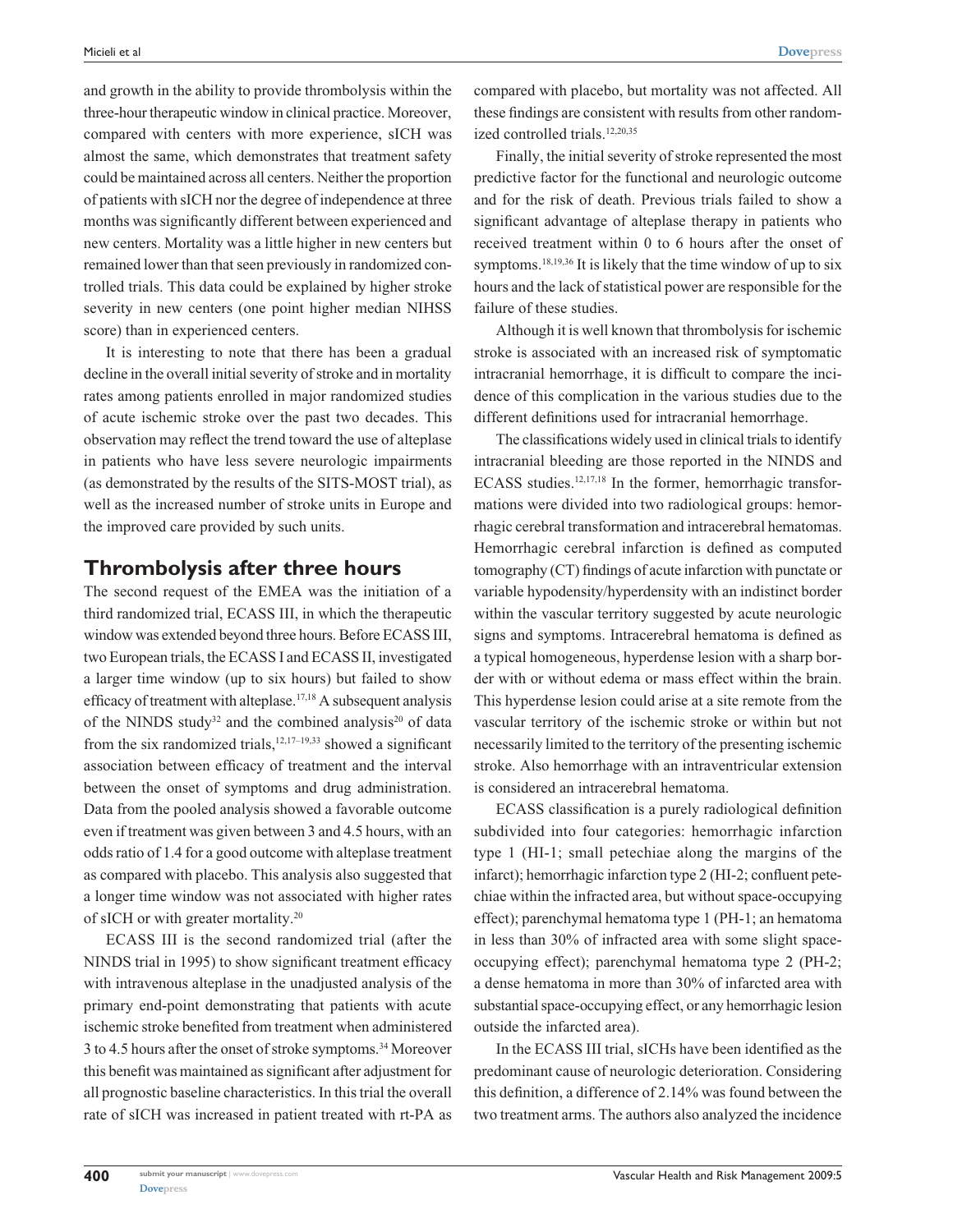Micieli et al **[Dovepress](www.dovepress.com)**

and growth in the ability to provide thrombolysis within the three-hour therapeutic window in clinical practice. Moreover, compared with centers with more experience, sICH was almost the same, which demonstrates that treatment safety could be maintained across all centers. Neither the proportion of patients with sICH nor the degree of independence at three months was significantly different between experienced and new centers. Mortality was a little higher in new centers but remained lower than that seen previously in randomized controlled trials. This data could be explained by higher stroke severity in new centers (one point higher median NIHSS score) than in experienced centers.

It is interesting to note that there has been a gradual decline in the overall initial severity of stroke and in mortality rates among patients enrolled in major randomized studies of acute ischemic stroke over the past two decades. This observation may reflect the trend toward the use of alteplase in patients who have less severe neurologic impairments (as demonstrated by the results of the SITS-MOST trial), as well as the increased number of stroke units in Europe and the improved care provided by such units.

# **Thrombolysis after three hours**

The second request of the EMEA was the initiation of a third randomized trial, ECASS III, in which the therapeutic window was extended beyond three hours. Before ECASS III, two European trials, the ECASS I and ECASS II, investigated a larger time window (up to six hours) but failed to show efficacy of treatment with alteplase.17,18 A subsequent analysis of the NINDS study<sup>32</sup> and the combined analysis<sup>20</sup> of data from the six randomized trials, $12,17-19,33$  showed a significant association between efficacy of treatment and the interval between the onset of symptoms and drug administration. Data from the pooled analysis showed a favorable outcome even if treatment was given between 3 and 4.5 hours, with an odds ratio of 1.4 for a good outcome with alteplase treatment as compared with placebo. This analysis also suggested that a longer time window was not associated with higher rates of sICH or with greater mortality.20

ECASS III is the second randomized trial (after the NINDS trial in 1995) to show significant treatment efficacy with intravenous alteplase in the unadjusted analysis of the primary end-point demonstrating that patients with acute ischemic stroke benefited from treatment when administered 3 to 4.5 hours after the onset of stroke symptoms.34 Moreover this benefit was maintained as significant after adjustment for all prognostic baseline characteristics. In this trial the overall rate of sICH was increased in patient treated with rt-PA as

Finally, the initial severity of stroke represented the most predictive factor for the functional and neurologic outcome and for the risk of death. Previous trials failed to show a significant advantage of alteplase therapy in patients who received treatment within 0 to 6 hours after the onset of symptoms.<sup>18,19,36</sup> It is likely that the time window of up to six hours and the lack of statistical power are responsible for the failure of these studies.

compared with placebo, but mortality was not affected. All

Although it is well known that thrombolysis for ischemic stroke is associated with an increased risk of symptomatic intracranial hemorrhage, it is difficult to compare the incidence of this complication in the various studies due to the different definitions used for intracranial hemorrhage.

The classifications widely used in clinical trials to identify intracranial bleeding are those reported in the NINDS and ECASS studies.12,17,18 In the former, hemorrhagic transformations were divided into two radiological groups: hemorrhagic cerebral transformation and intracerebral hematomas. Hemorrhagic cerebral infarction is defined as computed tomography (CT) findings of acute infarction with punctate or variable hypodensity/hyperdensity with an indistinct border within the vascular territory suggested by acute neurologic signs and symptoms. Intracerebral hematoma is defined as a typical homogeneous, hyperdense lesion with a sharp border with or without edema or mass effect within the brain. This hyperdense lesion could arise at a site remote from the vascular territory of the ischemic stroke or within but not necessarily limited to the territory of the presenting ischemic stroke. Also hemorrhage with an intraventricular extension is considered an intracerebral hematoma.

ECASS classification is a purely radiological definition subdivided into four categories: hemorrhagic infarction type 1 (HI-1; small petechiae along the margins of the infarct); hemorrhagic infarction type 2 (HI-2; confluent petechiae within the infracted area, but without space-occupying effect); parenchymal hematoma type 1 (PH-1; an hematoma in less than 30% of infracted area with some slight spaceoccupying effect); parenchymal hematoma type 2 (PH-2; a dense hematoma in more than 30% of infarcted area with substantial space-occupying effect, or any hemorrhagic lesion outside the infarcted area).

In the ECASS III trial, sICHs have been identified as the predominant cause of neurologic deterioration. Considering this definition, a difference of 2.14% was found between the two treatment arms. The authors also analyzed the incidence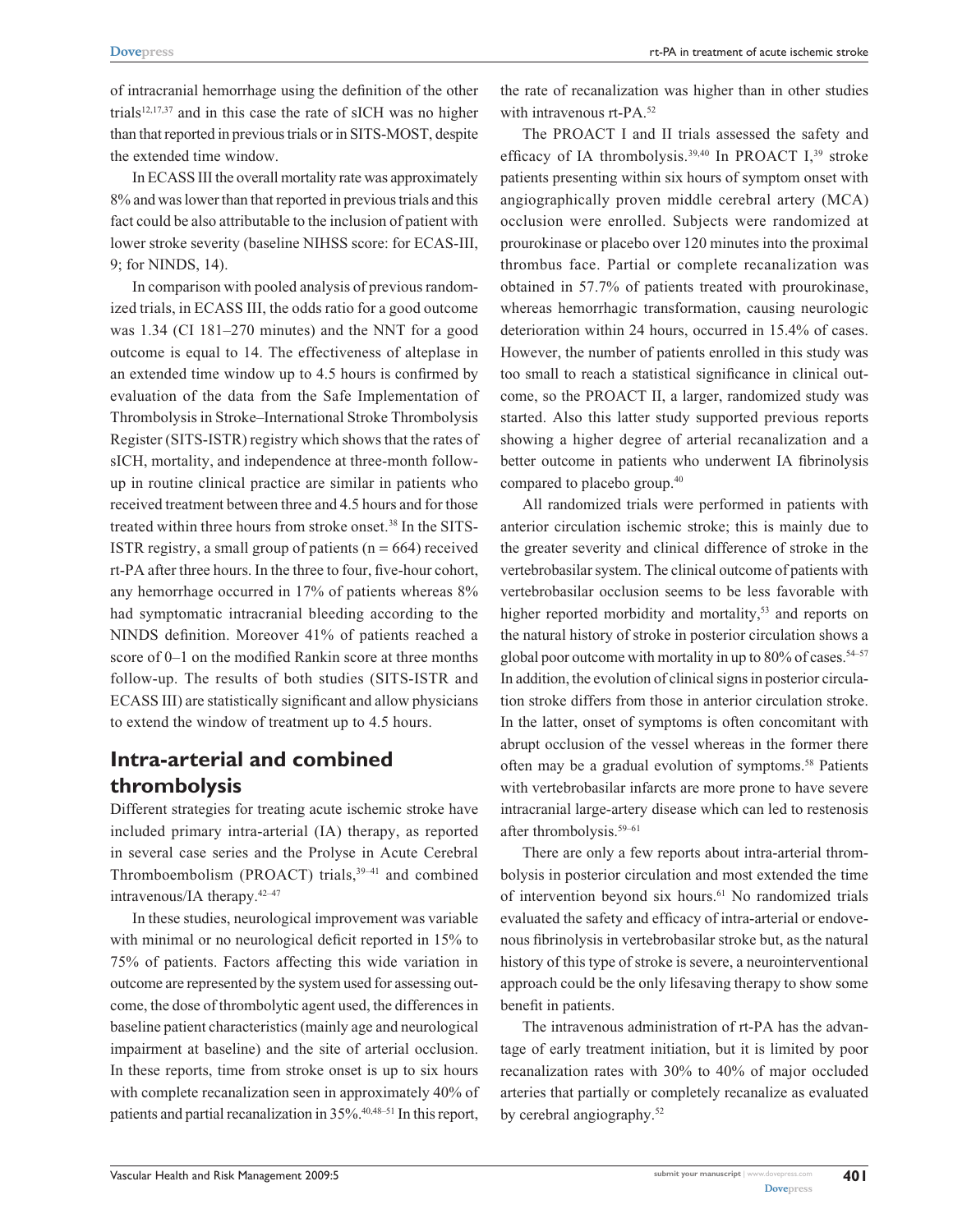of intracranial hemorrhage using the definition of the other trials<sup>12,17,37</sup> and in this case the rate of sICH was no higher than that reported in previous trials or in SITS-MOST, despite the extended time window.

In ECASS III the overall mortality rate was approximately 8% and was lower than that reported in previous trials and this fact could be also attributable to the inclusion of patient with lower stroke severity (baseline NIHSS score: for ECAS-III, 9; for NINDS, 14).

In comparison with pooled analysis of previous randomized trials, in ECASS III, the odds ratio for a good outcome was 1.34 (CI 181–270 minutes) and the NNT for a good outcome is equal to 14. The effectiveness of alteplase in an extended time window up to 4.5 hours is confirmed by evaluation of the data from the Safe Implementation of Thrombolysis in Stroke–International Stroke Thrombolysis Register (SITS-ISTR) registry which shows that the rates of sICH, mortality, and independence at three-month followup in routine clinical practice are similar in patients who received treatment between three and 4.5 hours and for those treated within three hours from stroke onset.<sup>38</sup> In the SITS-ISTR registry, a small group of patients ( $n = 664$ ) received rt-PA after three hours. In the three to four, five-hour cohort, any hemorrhage occurred in 17% of patients whereas 8% had symptomatic intracranial bleeding according to the NINDS definition. Moreover 41% of patients reached a score of 0–1 on the modified Rankin score at three months follow-up. The results of both studies (SITS-ISTR and ECASS III) are statistically significant and allow physicians to extend the window of treatment up to 4.5 hours.

# **Intra-arterial and combined thrombolysis**

Different strategies for treating acute ischemic stroke have included primary intra-arterial (IA) therapy, as reported in several case series and the Prolyse in Acute Cerebral Thromboembolism (PROACT) trials, $39-41$  and combined intravenous/IA therapy.42–47

In these studies, neurological improvement was variable with minimal or no neurological deficit reported in 15% to 75% of patients. Factors affecting this wide variation in outcome are represented by the system used for assessing outcome, the dose of thrombolytic agent used, the differences in baseline patient characteristics (mainly age and neurological impairment at baseline) and the site of arterial occlusion. In these reports, time from stroke onset is up to six hours with complete recanalization seen in approximately 40% of patients and partial recanalization in 35%.40,48–51 In this report,

the rate of recanalization was higher than in other studies with intravenous rt-PA.<sup>52</sup>

The PROACT I and II trials assessed the safety and efficacy of IA thrombolysis.<sup>39,40</sup> In PROACT  $I$ ,<sup>39</sup> stroke patients presenting within six hours of symptom onset with angiographically proven middle cerebral artery (MCA) occlusion were enrolled. Subjects were randomized at prourokinase or placebo over 120 minutes into the proximal thrombus face. Partial or complete recanalization was obtained in 57.7% of patients treated with prourokinase, whereas hemorrhagic transformation, causing neurologic deterioration within 24 hours, occurred in 15.4% of cases. However, the number of patients enrolled in this study was too small to reach a statistical significance in clinical outcome, so the PROACT II, a larger, randomized study was started. Also this latter study supported previous reports showing a higher degree of arterial recanalization and a better outcome in patients who underwent IA fibrinolysis compared to placebo group.40

All randomized trials were performed in patients with anterior circulation ischemic stroke; this is mainly due to the greater severity and clinical difference of stroke in the vertebrobasilar system. The clinical outcome of patients with vertebrobasilar occlusion seems to be less favorable with higher reported morbidity and mortality,<sup>53</sup> and reports on the natural history of stroke in posterior circulation shows a global poor outcome with mortality in up to  $80\%$  of cases.<sup>54–57</sup> In addition, the evolution of clinical signs in posterior circulation stroke differs from those in anterior circulation stroke. In the latter, onset of symptoms is often concomitant with abrupt occlusion of the vessel whereas in the former there often may be a gradual evolution of symptoms.<sup>58</sup> Patients with vertebrobasilar infarcts are more prone to have severe intracranial large-artery disease which can led to restenosis after thrombolysis.59–61

There are only a few reports about intra-arterial thrombolysis in posterior circulation and most extended the time of intervention beyond six hours.<sup>61</sup> No randomized trials evaluated the safety and efficacy of intra-arterial or endovenous fibrinolysis in vertebrobasilar stroke but, as the natural history of this type of stroke is severe, a neurointerventional approach could be the only lifesaving therapy to show some benefit in patients.

The intravenous administration of rt-PA has the advantage of early treatment initiation, but it is limited by poor recanalization rates with 30% to 40% of major occluded arteries that partially or completely recanalize as evaluated by cerebral angiography.<sup>52</sup>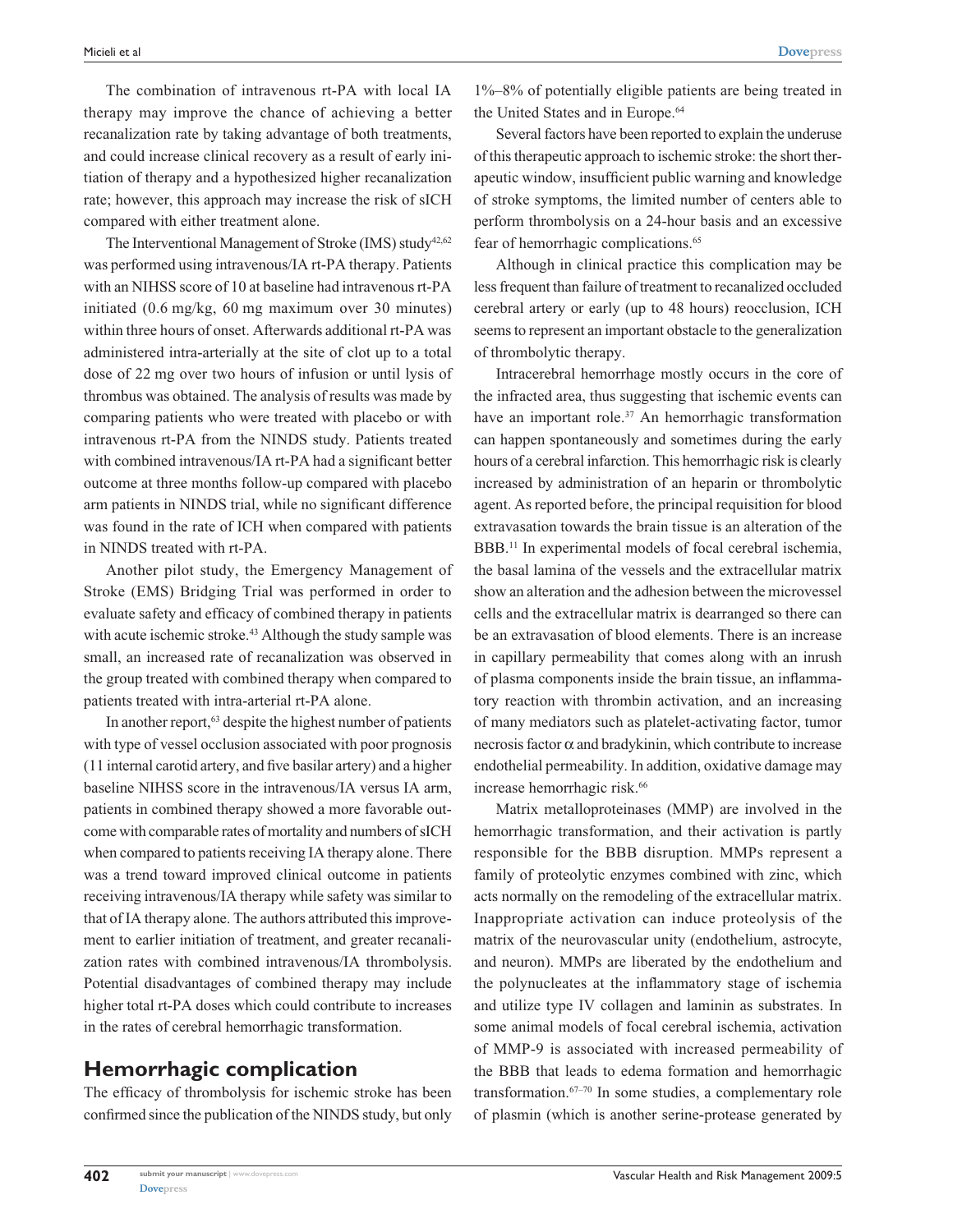The combination of intravenous rt-PA with local IA therapy may improve the chance of achieving a better recanalization rate by taking advantage of both treatments, and could increase clinical recovery as a result of early initiation of therapy and a hypothesized higher recanalization rate; however, this approach may increase the risk of sICH compared with either treatment alone.

The Interventional Management of Stroke (IMS) study<sup>42,62</sup> was performed using intravenous/IA rt-PA therapy. Patients with an NIHSS score of 10 at baseline had intravenous rt-PA initiated (0.6 mg/kg, 60 mg maximum over 30 minutes) within three hours of onset. Afterwards additional rt-PA was administered intra-arterially at the site of clot up to a total dose of 22 mg over two hours of infusion or until lysis of thrombus was obtained. The analysis of results was made by comparing patients who were treated with placebo or with intravenous rt-PA from the NINDS study. Patients treated with combined intravenous/IA rt-PA had a significant better outcome at three months follow-up compared with placebo arm patients in NINDS trial, while no significant difference was found in the rate of ICH when compared with patients in NINDS treated with rt-PA.

Another pilot study, the Emergency Management of Stroke (EMS) Bridging Trial was performed in order to evaluate safety and efficacy of combined therapy in patients with acute ischemic stroke.<sup>43</sup> Although the study sample was small, an increased rate of recanalization was observed in the group treated with combined therapy when compared to patients treated with intra-arterial rt-PA alone.

In another report,<sup>63</sup> despite the highest number of patients with type of vessel occlusion associated with poor prognosis (11 internal carotid artery, and five basilar artery) and a higher baseline NIHSS score in the intravenous/IA versus IA arm, patients in combined therapy showed a more favorable outcome with comparable rates of mortality and numbers of sICH when compared to patients receiving IA therapy alone. There was a trend toward improved clinical outcome in patients receiving intravenous/IA therapy while safety was similar to that of IA therapy alone. The authors attributed this improvement to earlier initiation of treatment, and greater recanalization rates with combined intravenous/IA thrombolysis. Potential disadvantages of combined therapy may include higher total rt-PA doses which could contribute to increases in the rates of cerebral hemorrhagic transformation.

# **Hemorrhagic complication**

The efficacy of thrombolysis for ischemic stroke has been confirmed since the publication of the NINDS study, but only

1%–8% of potentially eligible patients are being treated in the United States and in Europe.<sup>64</sup>

Several factors have been reported to explain the underuse of this therapeutic approach to ischemic stroke: the short therapeutic window, insufficient public warning and knowledge of stroke symptoms, the limited number of centers able to perform thrombolysis on a 24-hour basis and an excessive fear of hemorrhagic complications.<sup>65</sup>

Although in clinical practice this complication may be less frequent than failure of treatment to recanalized occluded cerebral artery or early (up to 48 hours) reocclusion, ICH seems to represent an important obstacle to the generalization of thrombolytic therapy.

Intracerebral hemorrhage mostly occurs in the core of the infracted area, thus suggesting that ischemic events can have an important role.<sup>37</sup> An hemorrhagic transformation can happen spontaneously and sometimes during the early hours of a cerebral infarction. This hemorrhagic risk is clearly increased by administration of an heparin or thrombolytic agent. As reported before, the principal requisition for blood extravasation towards the brain tissue is an alteration of the BBB.11 In experimental models of focal cerebral ischemia, the basal lamina of the vessels and the extracellular matrix show an alteration and the adhesion between the microvessel cells and the extracellular matrix is dearranged so there can be an extravasation of blood elements. There is an increase in capillary permeability that comes along with an inrush of plasma components inside the brain tissue, an inflammatory reaction with thrombin activation, and an increasing of many mediators such as platelet-activating factor, tumor necrosis factor α and bradykinin, which contribute to increase endothelial permeability. In addition, oxidative damage may increase hemorrhagic risk.<sup>66</sup>

Matrix metalloproteinases (MMP) are involved in the hemorrhagic transformation, and their activation is partly responsible for the BBB disruption. MMPs represent a family of proteolytic enzymes combined with zinc, which acts normally on the remodeling of the extracellular matrix. Inappropriate activation can induce proteolysis of the matrix of the neurovascular unity (endothelium, astrocyte, and neuron). MMPs are liberated by the endothelium and the polynucleates at the inflammatory stage of ischemia and utilize type IV collagen and laminin as substrates. In some animal models of focal cerebral ischemia, activation of MMP-9 is associated with increased permeability of the BBB that leads to edema formation and hemorrhagic transformation.67–70 In some studies, a complementary role of plasmin (which is another serine-protease generated by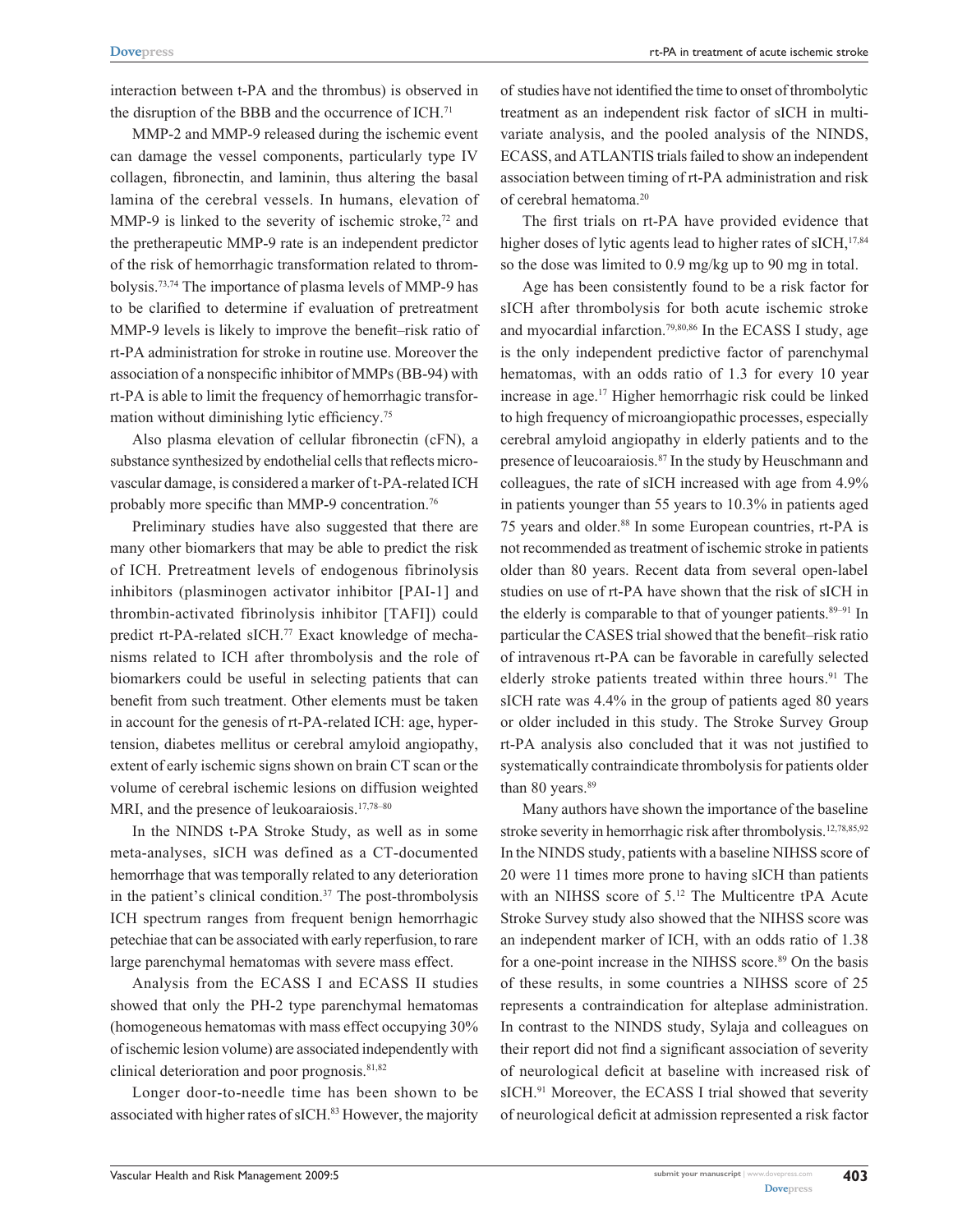interaction between t-PA and the thrombus) is observed in the disruption of the BBB and the occurrence of ICH.<sup>71</sup>

MMP-2 and MMP-9 released during the ischemic event can damage the vessel components, particularly type IV collagen, fibronectin, and laminin, thus altering the basal lamina of the cerebral vessels. In humans, elevation of MMP-9 is linked to the severity of ischemic stroke, $72$  and the pretherapeutic MMP-9 rate is an independent predictor of the risk of hemorrhagic transformation related to thrombolysis.73,74 The importance of plasma levels of MMP-9 has to be clarified to determine if evaluation of pretreatment MMP-9 levels is likely to improve the benefit–risk ratio of rt-PA administration for stroke in routine use. Moreover the association of a nonspecific inhibitor of MMPs (BB-94) with rt-PA is able to limit the frequency of hemorrhagic transformation without diminishing lytic efficiency.75

Also plasma elevation of cellular fibronectin (cFN), a substance synthesized by endothelial cells that reflects microvascular damage, is considered a marker of t-PA-related ICH probably more specific than MMP-9 concentration.<sup>76</sup>

Preliminary studies have also suggested that there are many other biomarkers that may be able to predict the risk of ICH. Pretreatment levels of endogenous fibrinolysis inhibitors (plasminogen activator inhibitor [PAI-1] and thrombin-activated fibrinolysis inhibitor [TAFI]) could predict rt-PA-related sICH.<sup>77</sup> Exact knowledge of mechanisms related to ICH after thrombolysis and the role of biomarkers could be useful in selecting patients that can benefit from such treatment. Other elements must be taken in account for the genesis of rt-PA-related ICH: age, hypertension, diabetes mellitus or cerebral amyloid angiopathy, extent of early ischemic signs shown on brain CT scan or the volume of cerebral ischemic lesions on diffusion weighted MRI, and the presence of leukoaraiosis.<sup>17,78–80</sup>

In the NINDS t-PA Stroke Study, as well as in some meta-analyses, sICH was defined as a CT-documented hemorrhage that was temporally related to any deterioration in the patient's clinical condition.<sup>37</sup> The post-thrombolysis ICH spectrum ranges from frequent benign hemorrhagic petechiae that can be associated with early reperfusion, to rare large parenchymal hematomas with severe mass effect.

Analysis from the ECASS I and ECASS II studies showed that only the PH-2 type parenchymal hematomas (homogeneous hematomas with mass effect occupying 30% of ischemic lesion volume) are associated independently with clinical deterioration and poor prognosis.<sup>81,82</sup>

Longer door-to-needle time has been shown to be associated with higher rates of sICH.<sup>83</sup> However, the majority

of studies have not identified the time to onset of thrombolytic treatment as an independent risk factor of sICH in multivariate analysis, and the pooled analysis of the NINDS, ECASS, and ATLANTIS trials failed to show an independent association between timing of rt-PA administration and risk of cerebral hematoma.20

The first trials on rt-PA have provided evidence that higher doses of lytic agents lead to higher rates of sICH,<sup>17,84</sup> so the dose was limited to 0.9 mg/kg up to 90 mg in total.

Age has been consistently found to be a risk factor for sICH after thrombolysis for both acute ischemic stroke and myocardial infarction.79,80,86 In the ECASS I study, age is the only independent predictive factor of parenchymal hematomas, with an odds ratio of 1.3 for every 10 year increase in age.17 Higher hemorrhagic risk could be linked to high frequency of microangiopathic processes, especially cerebral amyloid angiopathy in elderly patients and to the presence of leucoaraiosis.<sup>87</sup> In the study by Heuschmann and colleagues, the rate of sICH increased with age from 4.9% in patients younger than 55 years to 10.3% in patients aged 75 years and older.<sup>88</sup> In some European countries, rt-PA is not recommended as treatment of ischemic stroke in patients older than 80 years. Recent data from several open-label studies on use of rt-PA have shown that the risk of sICH in the elderly is comparable to that of younger patients. $89-91$  In particular the CASES trial showed that the benefit–risk ratio of intravenous rt-PA can be favorable in carefully selected elderly stroke patients treated within three hours.<sup>91</sup> The sICH rate was 4.4% in the group of patients aged 80 years or older included in this study. The Stroke Survey Group rt-PA analysis also concluded that it was not justified to systematically contraindicate thrombolysis for patients older than 80 years.<sup>89</sup>

Many authors have shown the importance of the baseline stroke severity in hemorrhagic risk after thrombolysis.12,78,85,92 In the NINDS study, patients with a baseline NIHSS score of 20 were 11 times more prone to having sICH than patients with an NIHSS score of 5.12 The Multicentre tPA Acute Stroke Survey study also showed that the NIHSS score was an independent marker of ICH, with an odds ratio of 1.38 for a one-point increase in the NIHSS score.<sup>89</sup> On the basis of these results, in some countries a NIHSS score of 25 represents a contraindication for alteplase administration. In contrast to the NINDS study, Sylaja and colleagues on their report did not find a significant association of severity of neurological deficit at baseline with increased risk of sICH.<sup>91</sup> Moreover, the ECASS I trial showed that severity of neurological deficit at admission represented a risk factor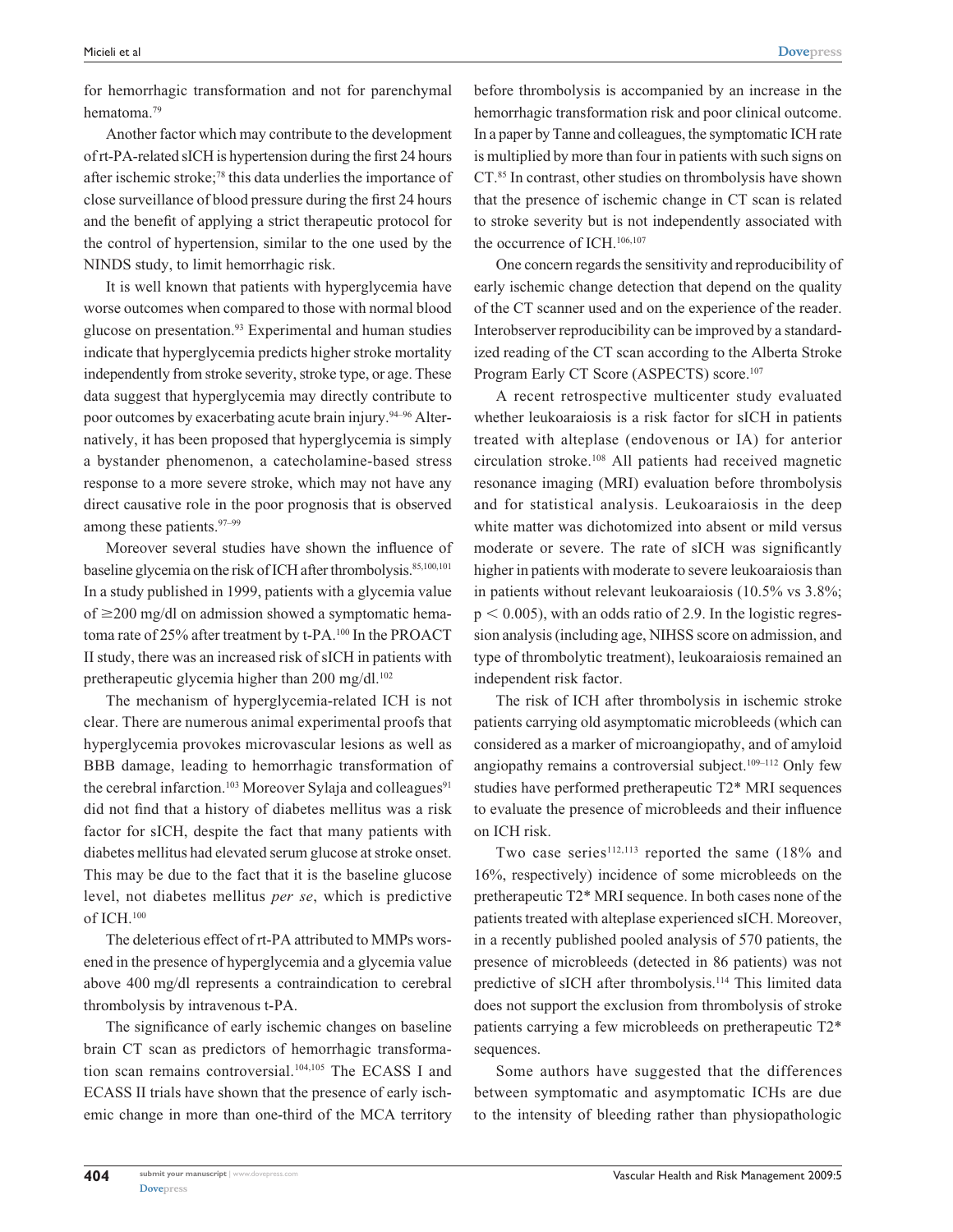for hemorrhagic transformation and not for parenchymal hematoma.79

Another factor which may contribute to the development of rt-PA-related sICH is hypertension during the first 24 hours after ischemic stroke;78 this data underlies the importance of close surveillance of blood pressure during the first 24 hours and the benefit of applying a strict therapeutic protocol for the control of hypertension, similar to the one used by the NINDS study, to limit hemorrhagic risk.

It is well known that patients with hyperglycemia have worse outcomes when compared to those with normal blood glucose on presentation.93 Experimental and human studies indicate that hyperglycemia predicts higher stroke mortality independently from stroke severity, stroke type, or age. These data suggest that hyperglycemia may directly contribute to poor outcomes by exacerbating acute brain injury.<sup>94–96</sup> Alternatively, it has been proposed that hyperglycemia is simply a bystander phenomenon, a catecholamine-based stress response to a more severe stroke, which may not have any direct causative role in the poor prognosis that is observed among these patients.<sup>97-99</sup>

Moreover several studies have shown the influence of baseline glycemia on the risk of ICH after thrombolysis.85,100,101 In a study published in 1999, patients with a glycemia value of  $\geq$ 200 mg/dl on admission showed a symptomatic hematoma rate of 25% after treatment by t-PA.100 In the PROACT II study, there was an increased risk of sICH in patients with pretherapeutic glycemia higher than 200 mg/dl.<sup>102</sup>

The mechanism of hyperglycemia-related ICH is not clear. There are numerous animal experimental proofs that hyperglycemia provokes microvascular lesions as well as BBB damage, leading to hemorrhagic transformation of the cerebral infarction.<sup>103</sup> Moreover Sylaja and colleagues<sup>91</sup> did not find that a history of diabetes mellitus was a risk factor for sICH, despite the fact that many patients with diabetes mellitus had elevated serum glucose at stroke onset. This may be due to the fact that it is the baseline glucose level, not diabetes mellitus *per se*, which is predictive of ICH.100

The deleterious effect of rt-PA attributed to MMPs worsened in the presence of hyperglycemia and a glycemia value above 400 mg/dl represents a contraindication to cerebral thrombolysis by intravenous t-PA.

The significance of early ischemic changes on baseline brain CT scan as predictors of hemorrhagic transformation scan remains controversial.104,105 The ECASS I and ECASS II trials have shown that the presence of early ischemic change in more than one-third of the MCA territory before thrombolysis is accompanied by an increase in the hemorrhagic transformation risk and poor clinical outcome. In a paper by Tanne and colleagues, the symptomatic ICH rate is multiplied by more than four in patients with such signs on CT.<sup>85</sup> In contrast, other studies on thrombolysis have shown that the presence of ischemic change in CT scan is related to stroke severity but is not independently associated with the occurrence of ICH.<sup>106,107</sup>

One concern regards the sensitivity and reproducibility of early ischemic change detection that depend on the quality of the CT scanner used and on the experience of the reader. Interobserver reproducibility can be improved by a standardized reading of the CT scan according to the Alberta Stroke Program Early CT Score (ASPECTS) score.<sup>107</sup>

A recent retrospective multicenter study evaluated whether leukoaraiosis is a risk factor for sICH in patients treated with alteplase (endovenous or IA) for anterior circulation stroke.108 All patients had received magnetic resonance imaging (MRI) evaluation before thrombolysis and for statistical analysis. Leukoaraiosis in the deep white matter was dichotomized into absent or mild versus moderate or severe. The rate of sICH was significantly higher in patients with moderate to severe leukoaraiosis than in patients without relevant leukoaraiosis (10.5% vs 3.8%;  $p < 0.005$ ), with an odds ratio of 2.9. In the logistic regression analysis (including age, NIHSS score on admission, and type of thrombolytic treatment), leukoaraiosis remained an independent risk factor.

The risk of ICH after thrombolysis in ischemic stroke patients carrying old asymptomatic microbleeds (which can considered as a marker of microangiopathy, and of amyloid angiopathy remains a controversial subject.<sup>109–112</sup> Only few studies have performed pretherapeutic T2\* MRI sequences to evaluate the presence of microbleeds and their influence on ICH risk.

Two case series $112,113$  reported the same (18% and 16%, respectively) incidence of some microbleeds on the pretherapeutic T2\* MRI sequence. In both cases none of the patients treated with alteplase experienced sICH. Moreover, in a recently published pooled analysis of 570 patients, the presence of microbleeds (detected in 86 patients) was not predictive of sICH after thrombolysis.<sup>114</sup> This limited data does not support the exclusion from thrombolysis of stroke patients carrying a few microbleeds on pretherapeutic T2\* sequences.

Some authors have suggested that the differences between symptomatic and asymptomatic ICHs are due to the intensity of bleeding rather than physiopathologic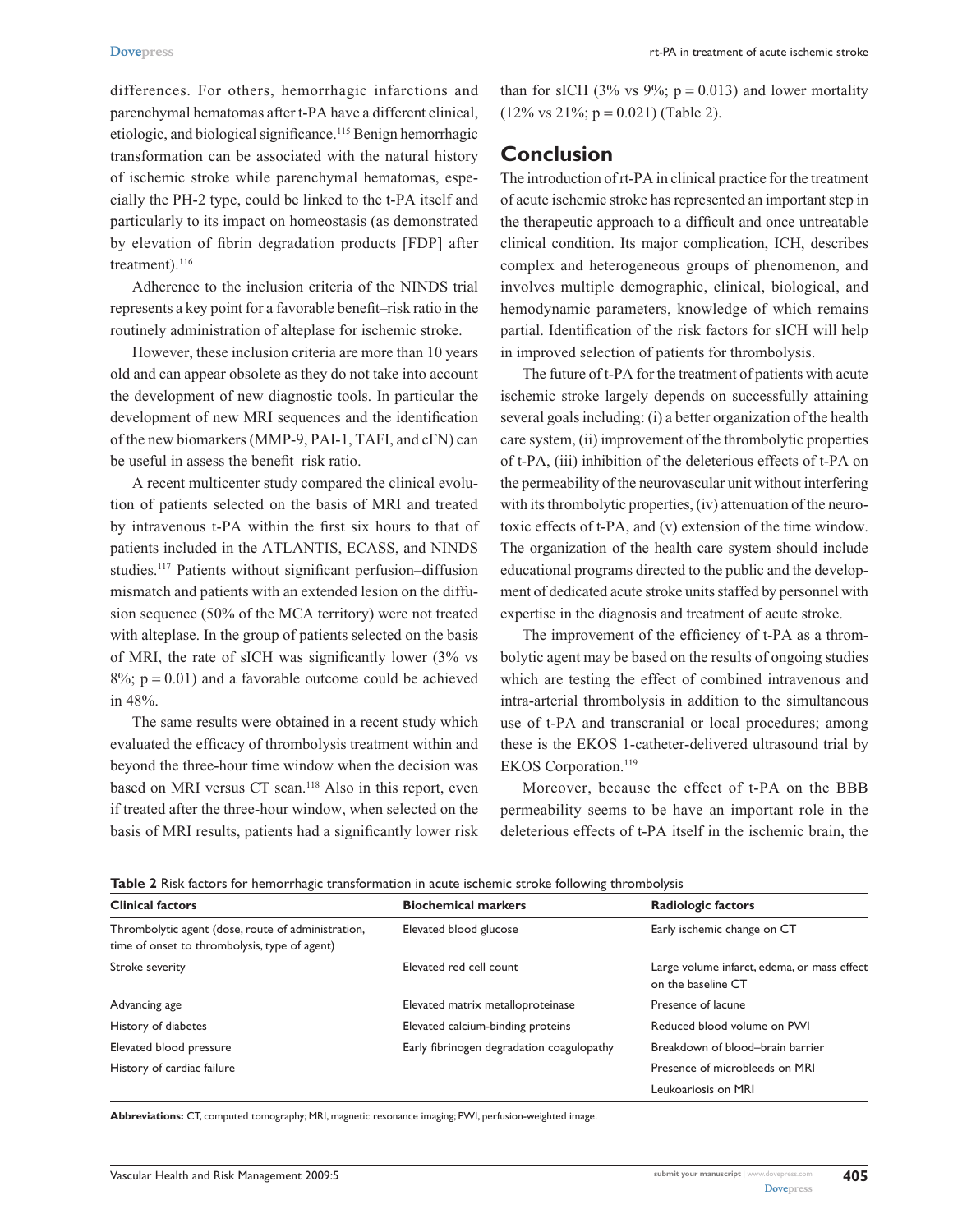differences. For others, hemorrhagic infarctions and parenchymal hematomas after t-PA have a different clinical, etiologic, and biological significance.115 Benign hemorrhagic transformation can be associated with the natural history of ischemic stroke while parenchymal hematomas, especially the PH-2 type, could be linked to the t-PA itself and particularly to its impact on homeostasis (as demonstrated by elevation of fibrin degradation products [FDP] after treatment).<sup>116</sup>

Adherence to the inclusion criteria of the NINDS trial represents a key point for a favorable benefit–risk ratio in the routinely administration of alteplase for ischemic stroke.

However, these inclusion criteria are more than 10 years old and can appear obsolete as they do not take into account the development of new diagnostic tools. In particular the development of new MRI sequences and the identification of the new biomarkers (MMP-9, PAI-1, TAFI, and cFN) can be useful in assess the benefit–risk ratio.

A recent multicenter study compared the clinical evolution of patients selected on the basis of MRI and treated by intravenous t-PA within the first six hours to that of patients included in the ATLANTIS, ECASS, and NINDS studies.117 Patients without significant perfusion–diffusion mismatch and patients with an extended lesion on the diffusion sequence (50% of the MCA territory) were not treated with alteplase. In the group of patients selected on the basis of MRI, the rate of sICH was significantly lower (3% vs  $8\%$ ;  $p = 0.01$ ) and a favorable outcome could be achieved in 48%.

The same results were obtained in a recent study which evaluated the efficacy of thrombolysis treatment within and beyond the three-hour time window when the decision was based on MRI versus CT scan.<sup>118</sup> Also in this report, even if treated after the three-hour window, when selected on the basis of MRI results, patients had a significantly lower risk

than for sICH (3% vs  $9\%$ ; p = 0.013) and lower mortality  $(12\% \text{ vs } 21\% \text{; } p = 0.021)$  (Table 2).

## **Conclusion**

The introduction of rt-PA in clinical practice for the treatment of acute ischemic stroke has represented an important step in the therapeutic approach to a difficult and once untreatable clinical condition. Its major complication, ICH, describes complex and heterogeneous groups of phenomenon, and involves multiple demographic, clinical, biological, and hemodynamic parameters, knowledge of which remains partial. Identification of the risk factors for sICH will help in improved selection of patients for thrombolysis.

The future of t-PA for the treatment of patients with acute ischemic stroke largely depends on successfully attaining several goals including: (i) a better organization of the health care system, (ii) improvement of the thrombolytic properties of t-PA, (iii) inhibition of the deleterious effects of t-PA on the permeability of the neurovascular unit without interfering with its thrombolytic properties, (iv) attenuation of the neurotoxic effects of t-PA, and (v) extension of the time window. The organization of the health care system should include educational programs directed to the public and the development of dedicated acute stroke units staffed by personnel with expertise in the diagnosis and treatment of acute stroke.

The improvement of the efficiency of t-PA as a thrombolytic agent may be based on the results of ongoing studies which are testing the effect of combined intravenous and intra-arterial thrombolysis in addition to the simultaneous use of t-PA and transcranial or local procedures; among these is the EKOS 1-catheter-delivered ultrasound trial by EKOS Corporation.<sup>119</sup>

Moreover, because the effect of t-PA on the BBB permeability seems to be have an important role in the deleterious effects of t-PA itself in the ischemic brain, the

|  |  | Table 2 Risk factors for hemorrhagic transformation in acute ischemic stroke following thrombolysis |  |  |  |  |
|--|--|-----------------------------------------------------------------------------------------------------|--|--|--|--|
|  |  |                                                                                                     |  |  |  |  |

| <b>Clinical factors</b>                                                                             | <b>Biochemical markers</b>                | <b>Radiologic factors</b>                                         |
|-----------------------------------------------------------------------------------------------------|-------------------------------------------|-------------------------------------------------------------------|
| Thrombolytic agent (dose, route of administration,<br>time of onset to thrombolysis, type of agent) | Elevated blood glucose                    | Early ischemic change on CT                                       |
| Stroke severity                                                                                     | Elevated red cell count                   | Large volume infarct, edema, or mass effect<br>on the baseline CT |
| Advancing age                                                                                       | Elevated matrix metalloproteinase         | Presence of lacune                                                |
| History of diabetes                                                                                 | Elevated calcium-binding proteins         | Reduced blood volume on PWI                                       |
| Elevated blood pressure                                                                             | Early fibrinogen degradation coagulopathy | Breakdown of blood-brain barrier                                  |
| History of cardiac failure                                                                          |                                           | Presence of microbleeds on MRI                                    |
|                                                                                                     |                                           | Leukoariosis on MRI                                               |

**Abbreviations:** CT, computed tomography; MRI, magnetic resonance imaging; PWI, perfusion-weighted image.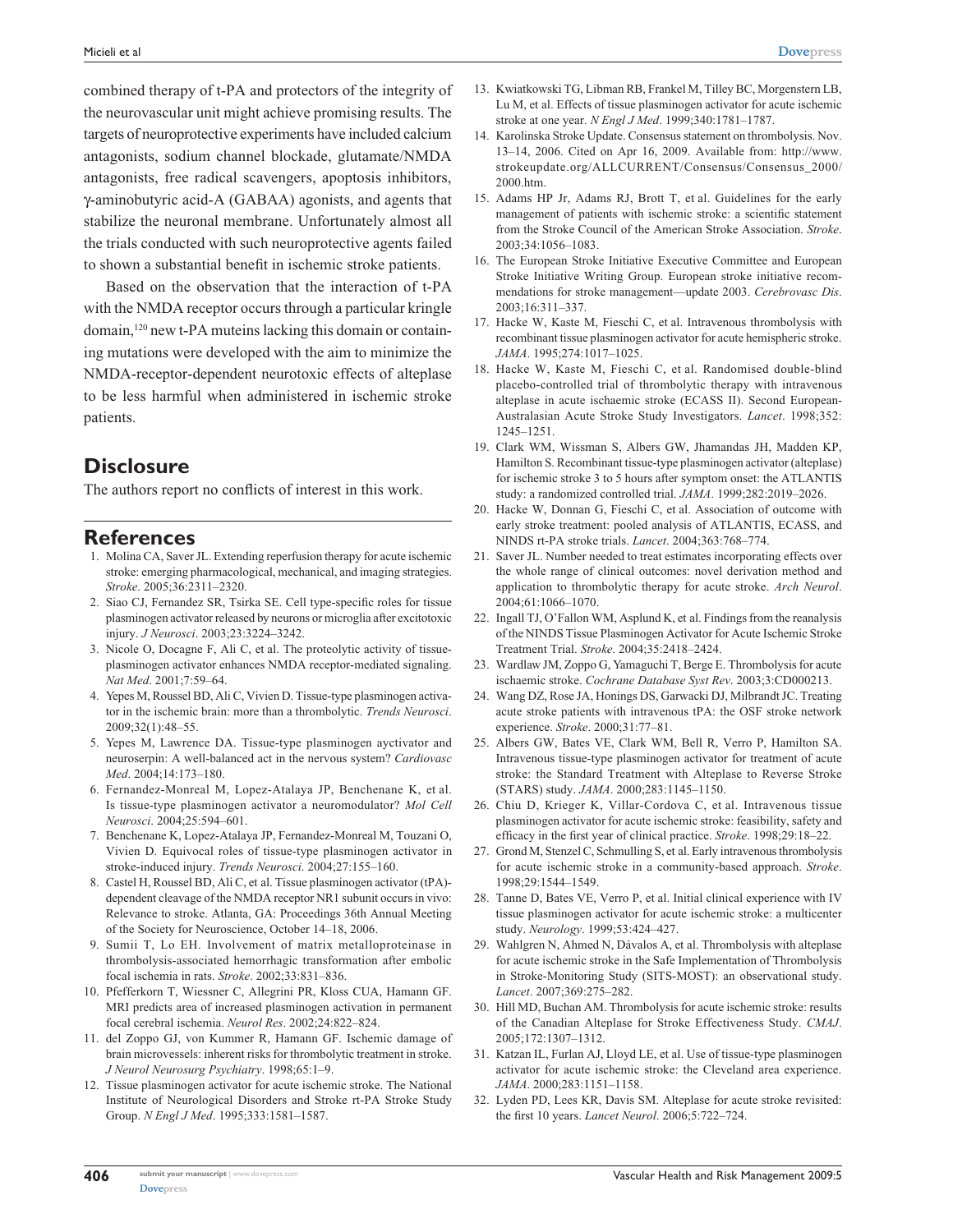combined therapy of t-PA and protectors of the integrity of the neurovascular unit might achieve promising results. The targets of neuroprotective experiments have included calcium antagonists, sodium channel blockade, glutamate/NMDA antagonists, free radical scavengers, apoptosis inhibitors, γ-aminobutyric acid-A (GABAA) agonists, and agents that stabilize the neuronal membrane. Unfortunately almost all the trials conducted with such neuroprotective agents failed to shown a substantial benefit in ischemic stroke patients.

Based on the observation that the interaction of t-PA with the NMDA receptor occurs through a particular kringle domain,120 new t-PA muteins lacking this domain or containing mutations were developed with the aim to minimize the NMDA-receptor-dependent neurotoxic effects of alteplase to be less harmful when administered in ischemic stroke patients.

## **Disclosure**

The authors report no conflicts of interest in this work.

### **References**

- 1. Molina CA, Saver JL. Extending reperfusion therapy for acute ischemic stroke: emerging pharmacological, mechanical, and imaging strategies. *Stroke*. 2005;36:2311–2320.
- 2. Siao CJ, Fernandez SR, Tsirka SE. Cell type-specific roles for tissue plasminogen activator released by neurons or microglia after excitotoxic injury. *J Neurosci*. 2003;23:3224–3242.
- 3. Nicole O, Docagne F, Ali C, et al. The proteolytic activity of tissueplasminogen activator enhances NMDA receptor-mediated signaling. *Nat Med*. 2001;7:59–64.
- 4. Yepes M, Roussel BD, Ali C, Vivien D. Tissue-type plasminogen activator in the ischemic brain: more than a thrombolytic. *Trends Neurosci*. 2009;32(1):48–55.
- 5. Yepes M, Lawrence DA. Tissue-type plasminogen ayctivator and neuroserpin: A well-balanced act in the nervous system? *Cardiovasc Med*. 2004;14:173–180.
- 6. Fernandez-Monreal M, Lopez-Atalaya JP, Benchenane K, et al. Is tissue-type plasminogen activator a neuromodulator? *Mol Cell Neurosci*. 2004;25:594–601.
- 7. Benchenane K, Lopez-Atalaya JP, Fernandez-Monreal M, Touzani O, Vivien D. Equivocal roles of tissue-type plasminogen activator in stroke-induced injury. *Trends Neurosci*. 2004;27:155–160.
- 8. Castel H, Roussel BD, Ali C, et al. Tissue plasminogen activator (tPA) dependent cleavage of the NMDA receptor NR1 subunit occurs in vivo: Relevance to stroke. Atlanta, GA: Proceedings 36th Annual Meeting of the Society for Neuroscience, October 14–18, 2006.
- 9. Sumii T, Lo EH. Involvement of matrix metalloproteinase in thrombolysis-associated hemorrhagic transformation after embolic focal ischemia in rats. *Stroke*. 2002;33:831–836.
- 10. Pfefferkorn T, Wiessner C, Allegrini PR, Kloss CUA, Hamann GF. MRI predicts area of increased plasminogen activation in permanent focal cerebral ischemia. *Neurol Res*. 2002;24:822–824.
- 11. del Zoppo GJ, von Kummer R, Hamann GF. Ischemic damage of brain microvessels: inherent risks for thrombolytic treatment in stroke. *J Neurol Neurosurg Psychiatry*. 1998;65:1–9.
- 12. Tissue plasminogen activator for acute ischemic stroke. The National Institute of Neurological Disorders and Stroke rt-PA Stroke Study Group. *N Engl J Med*. 1995;333:1581–1587.
- 13. Kwiatkowski TG, Libman RB, Frankel M, Tilley BC, Morgenstern LB, Lu M, et al. Effects of tissue plasminogen activator for acute ischemic stroke at one year. *N Engl J Med*. 1999;340:1781–1787.
- 14. Karolinska Stroke Update. Consensus statement on thrombolysis. Nov. 13–14, 2006. Cited on Apr 16, 2009. Available from: http://www. strokeupdate.org/ALLCURRENT/Consensus/Consensus\_2000/ 2000.htm.
- 15. Adams HP Jr, Adams RJ, Brott T, et al. Guidelines for the early management of patients with ischemic stroke: a scientific statement from the Stroke Council of the American Stroke Association. *Stroke*. 2003;34:1056–1083.
- 16. The European Stroke Initiative Executive Committee and European Stroke Initiative Writing Group. European stroke initiative recommendations for stroke management—update 2003. *Cerebrovasc Dis*. 2003;16:311–337.
- 17. Hacke W, Kaste M, Fieschi C, et al. Intravenous thrombolysis with recombinant tissue plasminogen activator for acute hemispheric stroke. *JAMA*. 1995;274:1017–1025.
- 18. Hacke W, Kaste M, Fieschi C, et al. Randomised double-blind placebo-controlled trial of thrombolytic therapy with intravenous alteplase in acute ischaemic stroke (ECASS II). Second European-Australasian Acute Stroke Study Investigators. *Lancet*. 1998;352: 1245–1251.
- 19. Clark WM, Wissman S, Albers GW, Jhamandas JH, Madden KP, Hamilton S. Recombinant tissue-type plasminogen activator (alteplase) for ischemic stroke 3 to 5 hours after symptom onset: the ATLANTIS study: a randomized controlled trial. *JAMA*. 1999;282:2019–2026.
- 20. Hacke W, Donnan G, Fieschi C, et al. Association of outcome with early stroke treatment: pooled analysis of ATLANTIS, ECASS, and NINDS rt-PA stroke trials. *Lancet*. 2004;363:768–774.
- 21. Saver JL. Number needed to treat estimates incorporating effects over the whole range of clinical outcomes: novel derivation method and application to thrombolytic therapy for acute stroke. *Arch Neurol*. 2004;61:1066–1070.
- 22. Ingall TJ, O'Fallon WM, Asplund K, et al. Findings from the reanalysis of the NINDS Tissue Plasminogen Activator for Acute Ischemic Stroke Treatment Trial. *Stroke*. 2004;35:2418–2424.
- Wardlaw JM, Zoppo G, Yamaguchi T, Berge E. Thrombolysis for acute ischaemic stroke. *Cochrane Database Syst Rev*. 2003;3:CD000213.
- 24. Wang DZ, Rose JA, Honings DS, Garwacki DJ, Milbrandt JC. Treating acute stroke patients with intravenous tPA: the OSF stroke network experience. *Stroke*. 2000;31:77–81.
- 25. Albers GW, Bates VE, Clark WM, Bell R, Verro P, Hamilton SA. Intravenous tissue-type plasminogen activator for treatment of acute stroke: the Standard Treatment with Alteplase to Reverse Stroke (STARS) study. *JAMA*. 2000;283:1145–1150.
- 26. Chiu D, Krieger K, Villar-Cordova C, et al. Intravenous tissue plasminogen activator for acute ischemic stroke: feasibility, safety and efficacy in the first year of clinical practice. *Stroke*. 1998;29:18–22.
- 27. Grond M, Stenzel C, Schmulling S, et al. Early intravenous thrombolysis for acute ischemic stroke in a community-based approach. *Stroke*. 1998;29:1544–1549.
- 28. Tanne D, Bates VE, Verro P, et al. Initial clinical experience with IV tissue plasminogen activator for acute ischemic stroke: a multicenter study. *Neurology*. 1999;53:424–427.
- 29. Wahlgren N, Ahmed N, Dávalos A, et al. Thrombolysis with alteplase for acute ischemic stroke in the Safe Implementation of Thrombolysis in Stroke-Monitoring Study (SITS-MOST): an observational study. *Lancet*. 2007;369:275–282.
- 30. Hill MD, Buchan AM. Thrombolysis for acute ischemic stroke: results of the Canadian Alteplase for Stroke Effectiveness Study. *CMAJ*. 2005;172:1307–1312.
- 31. Katzan IL, Furlan AJ, Lloyd LE, et al. Use of tissue-type plasminogen activator for acute ischemic stroke: the Cleveland area experience. *JAMA*. 2000;283:1151–1158.
- 32. Lyden PD, Lees KR, Davis SM. Alteplase for acute stroke revisited: the first 10 years. *Lancet Neurol*. 2006;5:722–724.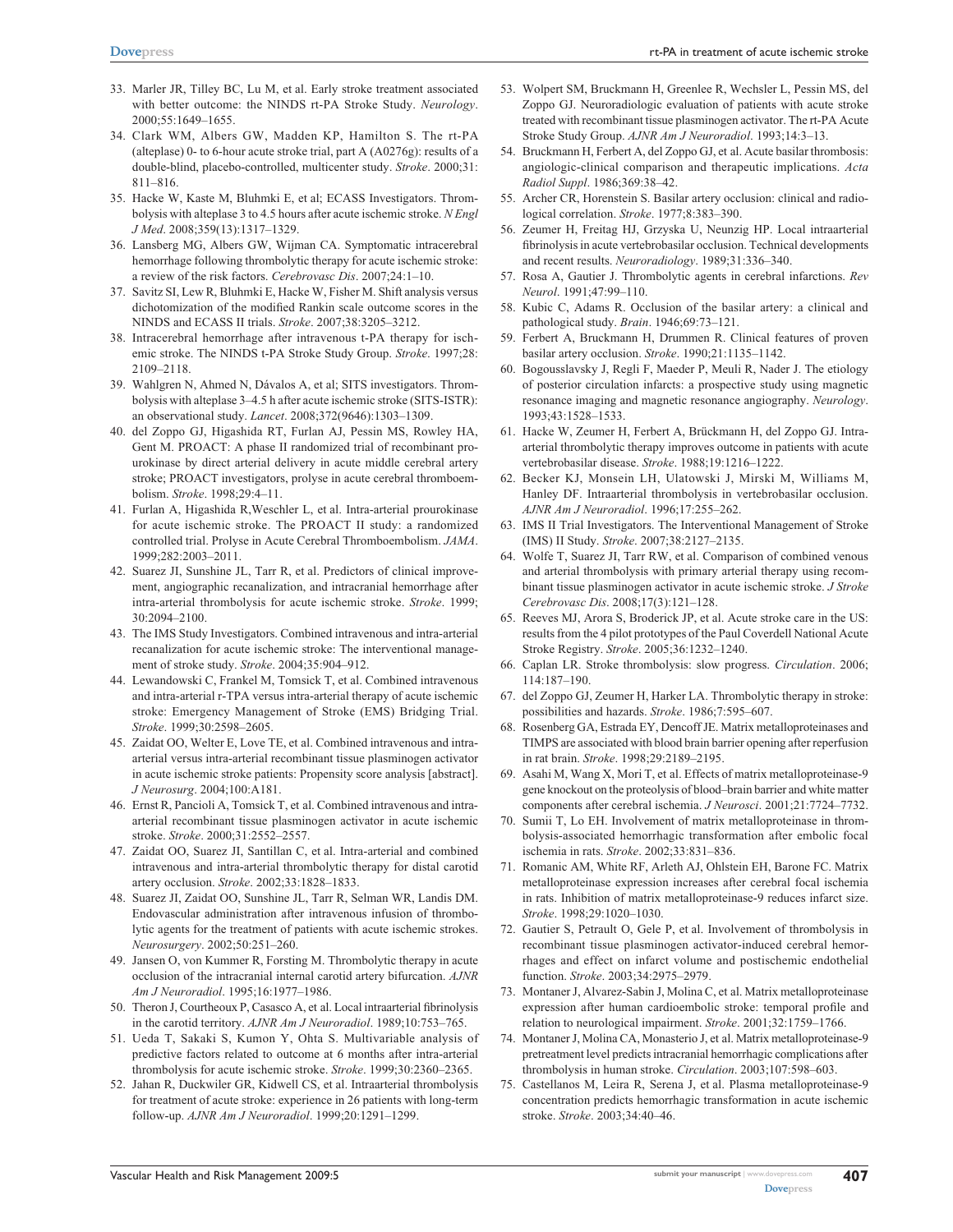- 33. Marler JR, Tilley BC, Lu M, et al. Early stroke treatment associated with better outcome: the NINDS rt-PA Stroke Study. *Neurology*. 2000;55:1649–1655.
- 34. Clark WM, Albers GW, Madden KP, Hamilton S. The rt-PA (alteplase) 0- to 6-hour acute stroke trial, part A (A0276g): results of a double-blind, placebo-controlled, multicenter study. *Stroke*. 2000;31: 811–816.
- 35. Hacke W, Kaste M, Bluhmki E, et al; ECASS Investigators. Thrombolysis with alteplase 3 to 4.5 hours after acute ischemic stroke. *N Engl J Med*. 2008;359(13):1317–1329.
- 36. Lansberg MG, Albers GW, Wijman CA. Symptomatic intracerebral hemorrhage following thrombolytic therapy for acute ischemic stroke: a review of the risk factors. *Cerebrovasc Dis*. 2007;24:1–10.
- 37. Savitz SI, Lew R, Bluhmki E, Hacke W, Fisher M. Shift analysis versus dichotomization of the modified Rankin scale outcome scores in the NINDS and ECASS II trials. *Stroke*. 2007;38:3205–3212.
- 38. Intracerebral hemorrhage after intravenous t-PA therapy for ischemic stroke. The NINDS t-PA Stroke Study Group. *Stroke*. 1997;28: 2109–2118.
- 39. Wahlgren N, Ahmed N, Dávalos A, et al; SITS investigators. Thrombolysis with alteplase 3–4.5 h after acute ischemic stroke (SITS-ISTR): an observational study. *Lancet*. 2008;372(9646):1303–1309.
- 40. del Zoppo GJ, Higashida RT, Furlan AJ, Pessin MS, Rowley HA, Gent M. PROACT: A phase II randomized trial of recombinant prourokinase by direct arterial delivery in acute middle cerebral artery stroke; PROACT investigators, prolyse in acute cerebral thromboembolism. *Stroke*. 1998;29:4–11.
- 41. Furlan A, Higashida R,Weschler L, et al. Intra-arterial prourokinase for acute ischemic stroke. The PROACT II study: a randomized controlled trial. Prolyse in Acute Cerebral Thromboembolism. *JAMA*. 1999;282:2003–2011.
- 42. Suarez JI, Sunshine JL, Tarr R, et al. Predictors of clinical improvement, angiographic recanalization, and intracranial hemorrhage after intra-arterial thrombolysis for acute ischemic stroke. *Stroke*. 1999; 30:2094–2100.
- 43. The IMS Study Investigators. Combined intravenous and intra-arterial recanalization for acute ischemic stroke: The interventional management of stroke study. *Stroke*. 2004;35:904–912.
- 44. Lewandowski C, Frankel M, Tomsick T, et al. Combined intravenous and intra-arterial r-TPA versus intra-arterial therapy of acute ischemic stroke: Emergency Management of Stroke (EMS) Bridging Trial. *Stroke*. 1999;30:2598–2605.
- 45. Zaidat OO, Welter E, Love TE, et al. Combined intravenous and intraarterial versus intra-arterial recombinant tissue plasminogen activator in acute ischemic stroke patients: Propensity score analysis [abstract]. *J Neurosurg*. 2004;100:A181.
- 46. Ernst R, Pancioli A, Tomsick T, et al. Combined intravenous and intraarterial recombinant tissue plasminogen activator in acute ischemic stroke. *Stroke*. 2000;31:2552–2557.
- 47. Zaidat OO, Suarez JI, Santillan C, et al. Intra-arterial and combined intravenous and intra-arterial thrombolytic therapy for distal carotid artery occlusion. *Stroke*. 2002;33:1828–1833.
- 48. Suarez JI, Zaidat OO, Sunshine JL, Tarr R, Selman WR, Landis DM. Endovascular administration after intravenous infusion of thrombolytic agents for the treatment of patients with acute ischemic strokes. *Neurosurgery*. 2002;50:251–260.
- 49. Jansen O, von Kummer R, Forsting M. Thrombolytic therapy in acute occlusion of the intracranial internal carotid artery bifurcation. *AJNR Am J Neuroradiol*. 1995;16:1977–1986.
- 50. Theron J, Courtheoux P, Casasco A, et al. Local intraarterial fibrinolysis in the carotid territory. *AJNR Am J Neuroradiol*. 1989;10:753–765.
- 51. Ueda T, Sakaki S, Kumon Y, Ohta S. Multivariable analysis of predictive factors related to outcome at 6 months after intra-arterial thrombolysis for acute ischemic stroke. *Stroke*. 1999;30:2360–2365.
- 52. Jahan R, Duckwiler GR, Kidwell CS, et al. Intraarterial thrombolysis for treatment of acute stroke: experience in 26 patients with long-term follow-up. *AJNR Am J Neuroradiol*. 1999;20:1291–1299.
- 53. Wolpert SM, Bruckmann H, Greenlee R, Wechsler L, Pessin MS, del Zoppo GJ. Neuroradiologic evaluation of patients with acute stroke treated with recombinant tissue plasminogen activator. The rt-PA Acute Stroke Study Group. *AJNR Am J Neuroradiol*. 1993;14:3–13.
- 54. Bruckmann H, Ferbert A, del Zoppo GJ, et al. Acute basilar thrombosis: angiologic-clinical comparison and therapeutic implications. *Acta Radiol Suppl*. 1986;369:38–42.
- 55. Archer CR, Horenstein S. Basilar artery occlusion: clinical and radiological correlation. *Stroke*. 1977;8:383–390.
- 56. Zeumer H, Freitag HJ, Grzyska U, Neunzig HP. Local intraarterial fibrinolysis in acute vertebrobasilar occlusion. Technical developments and recent results. *Neuroradiology*. 1989;31:336–340.
- 57. Rosa A, Gautier J. Thrombolytic agents in cerebral infarctions. *Rev Neurol*. 1991;47:99–110.
- 58. Kubic C, Adams R. Occlusion of the basilar artery: a clinical and pathological study. *Brain*. 1946;69:73–121.
- 59. Ferbert A, Bruckmann H, Drummen R. Clinical features of proven basilar artery occlusion. *Stroke*. 1990;21:1135–1142.
- 60. Bogousslavsky J, Regli F, Maeder P, Meuli R, Nader J. The etiology of posterior circulation infarcts: a prospective study using magnetic resonance imaging and magnetic resonance angiography. *Neurology*. 1993;43:1528–1533.
- 61. Hacke W, Zeumer H, Ferbert A, Brückmann H, del Zoppo GJ. Intraarterial thrombolytic therapy improves outcome in patients with acute vertebrobasilar disease. *Stroke*. 1988;19:1216–1222.
- 62. Becker KJ, Monsein LH, Ulatowski J, Mirski M, Williams M, Hanley DF. Intraarterial thrombolysis in vertebrobasilar occlusion. *AJNR Am J Neuroradiol*. 1996;17:255–262.
- 63. IMS II Trial Investigators. The Interventional Management of Stroke (IMS) II Study. *Stroke*. 2007;38:2127–2135.
- 64. Wolfe T, Suarez JI, Tarr RW, et al. Comparison of combined venous and arterial thrombolysis with primary arterial therapy using recombinant tissue plasminogen activator in acute ischemic stroke. *J Stroke Cerebrovasc Dis*. 2008;17(3):121–128.
- 65. Reeves MJ, Arora S, Broderick JP, et al. Acute stroke care in the US: results from the 4 pilot prototypes of the Paul Coverdell National Acute Stroke Registry. *Stroke*. 2005;36:1232–1240.
- 66. Caplan LR. Stroke thrombolysis: slow progress. *Circulation*. 2006; 114:187–190.
- 67. del Zoppo GJ, Zeumer H, Harker LA. Thrombolytic therapy in stroke: possibilities and hazards. *Stroke*. 1986;7:595–607.
- 68. Rosenberg GA, Estrada EY, Dencoff JE. Matrix metalloproteinases and TIMPS are associated with blood brain barrier opening after reperfusion in rat brain. *Stroke*. 1998;29:2189–2195.
- 69. Asahi M, Wang X, Mori T, et al. Effects of matrix metalloproteinase-9 gene knockout on the proteolysis of blood–brain barrier and white matter components after cerebral ischemia. *J Neurosci*. 2001;21:7724–7732.
- 70. Sumii T, Lo EH. Involvement of matrix metalloproteinase in thrombolysis-associated hemorrhagic transformation after embolic focal ischemia in rats. *Stroke*. 2002;33:831–836.
- 71. Romanic AM, White RF, Arleth AJ, Ohlstein EH, Barone FC. Matrix metalloproteinase expression increases after cerebral focal ischemia in rats. Inhibition of matrix metalloproteinase-9 reduces infarct size. *Stroke*. 1998;29:1020–1030.
- 72. Gautier S, Petrault O, Gele P, et al. Involvement of thrombolysis in recombinant tissue plasminogen activator-induced cerebral hemorrhages and effect on infarct volume and postischemic endothelial function. *Stroke*. 2003;34:2975–2979.
- 73. Montaner J, Alvarez-Sabin J, Molina C, et al. Matrix metalloproteinase expression after human cardioembolic stroke: temporal profile and relation to neurological impairment. *Stroke*. 2001;32:1759–1766.
- 74. Montaner J, Molina CA, Monasterio J, et al. Matrix metalloproteinase-9 pretreatment level predicts intracranial hemorrhagic complications after thrombolysis in human stroke. *Circulation*. 2003;107:598–603.
- 75. Castellanos M, Leira R, Serena J, et al. Plasma metalloproteinase-9 concentration predicts hemorrhagic transformation in acute ischemic stroke. *Stroke*. 2003;34:40–46.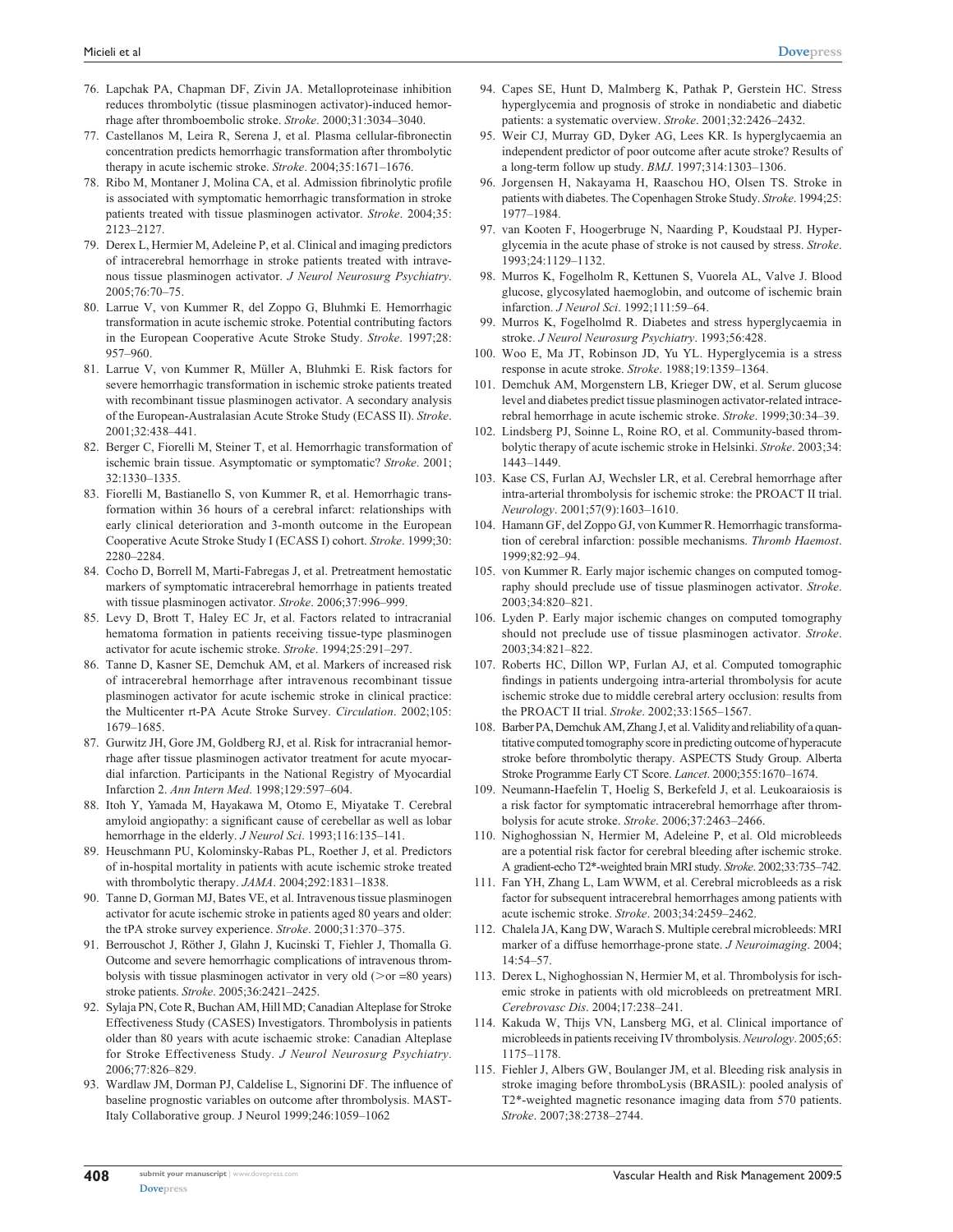- 76. Lapchak PA, Chapman DF, Zivin JA. Metalloproteinase inhibition reduces thrombolytic (tissue plasminogen activator)-induced hemorrhage after thromboembolic stroke. *Stroke*. 2000;31:3034–3040.
- 77. Castellanos M, Leira R, Serena J, et al. Plasma cellular-fibronectin concentration predicts hemorrhagic transformation after thrombolytic therapy in acute ischemic stroke. *Stroke*. 2004;35:1671–1676.
- 78. Ribo M, Montaner J, Molina CA, et al. Admission fibrinolytic profile is associated with symptomatic hemorrhagic transformation in stroke patients treated with tissue plasminogen activator. *Stroke*. 2004;35: 2123–2127.
- 79. Derex L, Hermier M, Adeleine P, et al. Clinical and imaging predictors of intracerebral hemorrhage in stroke patients treated with intravenous tissue plasminogen activator. *J Neurol Neurosurg Psychiatry*. 2005;76:70–75.
- 80. Larrue V, von Kummer R, del Zoppo G, Bluhmki E. Hemorrhagic transformation in acute ischemic stroke. Potential contributing factors in the European Cooperative Acute Stroke Study. *Stroke*. 1997;28: 957–960.
- 81. Larrue V, von Kummer R, Müller A, Bluhmki E. Risk factors for severe hemorrhagic transformation in ischemic stroke patients treated with recombinant tissue plasminogen activator. A secondary analysis of the European-Australasian Acute Stroke Study (ECASS II). *Stroke*. 2001;32:438–441.
- 82. Berger C, Fiorelli M, Steiner T, et al. Hemorrhagic transformation of ischemic brain tissue. Asymptomatic or symptomatic? *Stroke*. 2001; 32:1330–1335.
- 83. Fiorelli M, Bastianello S, von Kummer R, et al. Hemorrhagic transformation within 36 hours of a cerebral infarct: relationships with early clinical deterioration and 3-month outcome in the European Cooperative Acute Stroke Study I (ECASS I) cohort. *Stroke*. 1999;30: 2280–2284.
- 84. Cocho D, Borrell M, Marti-Fabregas J, et al. Pretreatment hemostatic markers of symptomatic intracerebral hemorrhage in patients treated with tissue plasminogen activator. *Stroke*. 2006;37:996–999.
- 85. Levy D, Brott T, Haley EC Jr, et al. Factors related to intracranial hematoma formation in patients receiving tissue-type plasminogen activator for acute ischemic stroke. *Stroke*. 1994;25:291–297.
- 86. Tanne D, Kasner SE, Demchuk AM, et al. Markers of increased risk of intracerebral hemorrhage after intravenous recombinant tissue plasminogen activator for acute ischemic stroke in clinical practice: the Multicenter rt-PA Acute Stroke Survey. *Circulation*. 2002;105: 1679–1685.
- 87. Gurwitz JH, Gore JM, Goldberg RJ, et al. Risk for intracranial hemorrhage after tissue plasminogen activator treatment for acute myocardial infarction. Participants in the National Registry of Myocardial Infarction 2. *Ann Intern Med*. 1998;129:597–604.
- 88. Itoh Y, Yamada M, Hayakawa M, Otomo E, Miyatake T. Cerebral amyloid angiopathy: a significant cause of cerebellar as well as lobar hemorrhage in the elderly. *J Neurol Sci*. 1993;116:135–141.
- 89. Heuschmann PU, Kolominsky-Rabas PL, Roether J, et al. Predictors of in-hospital mortality in patients with acute ischemic stroke treated with thrombolytic therapy. *JAMA*. 2004;292:1831–1838.
- 90. Tanne D, Gorman MJ, Bates VE, et al. Intravenous tissue plasminogen activator for acute ischemic stroke in patients aged 80 years and older: the tPA stroke survey experience. *Stroke*. 2000;31:370–375.
- 91. Berrouschot J, Röther J, Glahn J, Kucinski T, Fiehler J, Thomalla G. Outcome and severe hemorrhagic complications of intravenous thrombolysis with tissue plasminogen activator in very old  $(> or = 80 \text{ years})$ stroke patients. *Stroke*. 2005;36:2421–2425.
- 92. Sylaja PN, Cote R, Buchan AM, Hill MD; Canadian Alteplase for Stroke Effectiveness Study (CASES) Investigators. Thrombolysis in patients older than 80 years with acute ischaemic stroke: Canadian Alteplase for Stroke Effectiveness Study. *J Neurol Neurosurg Psychiatry*. 2006;77:826–829.
- 93. Wardlaw JM, Dorman PJ, Caldelise L, Signorini DF. The influence of baseline prognostic variables on outcome after thrombolysis. MAST-Italy Collaborative group. J Neurol 1999;246:1059–1062
- 94. Capes SE, Hunt D, Malmberg K, Pathak P, Gerstein HC. Stress hyperglycemia and prognosis of stroke in nondiabetic and diabetic patients: a systematic overview. *Stroke*. 2001;32:2426–2432.
- 95. Weir CJ, Murray GD, Dyker AG, Lees KR. Is hyperglycaemia an independent predictor of poor outcome after acute stroke? Results of a long-term follow up study. *BMJ*. 1997;314:1303–1306.
- 96. Jorgensen H, Nakayama H, Raaschou HO, Olsen TS. Stroke in patients with diabetes. The Copenhagen Stroke Study. *Stroke*. 1994;25: 1977–1984.
- 97. van Kooten F, Hoogerbruge N, Naarding P, Koudstaal PJ. Hyperglycemia in the acute phase of stroke is not caused by stress. *Stroke*. 1993;24:1129–1132.
- 98. Murros K, Fogelholm R, Kettunen S, Vuorela AL, Valve J. Blood glucose, glycosylated haemoglobin, and outcome of ischemic brain infarction. *J Neurol Sci*. 1992;111:59–64.
- 99. Murros K, Fogelholmd R. Diabetes and stress hyperglycaemia in stroke. *J Neurol Neurosurg Psychiatry*. 1993;56:428.
- 100. Woo E, Ma JT, Robinson JD, Yu YL. Hyperglycemia is a stress response in acute stroke. *Stroke*. 1988;19:1359–1364.
- 101. Demchuk AM, Morgenstern LB, Krieger DW, et al. Serum glucose level and diabetes predict tissue plasminogen activator-related intracerebral hemorrhage in acute ischemic stroke. *Stroke*. 1999;30:34–39.
- 102. Lindsberg PJ, Soinne L, Roine RO, et al. Community-based thrombolytic therapy of acute ischemic stroke in Helsinki. *Stroke*. 2003;34: 1443–1449.
- 103. Kase CS, Furlan AJ, Wechsler LR, et al. Cerebral hemorrhage after intra-arterial thrombolysis for ischemic stroke: the PROACT II trial. *Neurology*. 2001;57(9):1603–1610.
- 104. Hamann GF, del Zoppo GJ, von Kummer R. Hemorrhagic transformation of cerebral infarction: possible mechanisms. *Thromb Haemost*. 1999;82:92–94.
- 105. von Kummer R. Early major ischemic changes on computed tomography should preclude use of tissue plasminogen activator. *Stroke*. 2003;34:820–821.
- 106. Lyden P. Early major ischemic changes on computed tomography should not preclude use of tissue plasminogen activator. *Stroke*. 2003;34:821–822.
- 107. Roberts HC, Dillon WP, Furlan AJ, et al. Computed tomographic findings in patients undergoing intra-arterial thrombolysis for acute ischemic stroke due to middle cerebral artery occlusion: results from the PROACT II trial. *Stroke*. 2002;33:1565–1567.
- 108. Barber PA, Demchuk AM, Zhang J, et al. Validity and reliability of a quantitative computed tomography score in predicting outcome of hyperacute stroke before thrombolytic therapy. ASPECTS Study Group. Alberta Stroke Programme Early CT Score. *Lancet*. 2000;355:1670–1674.
- 109. Neumann-Haefelin T, Hoelig S, Berkefeld J, et al. Leukoaraiosis is a risk factor for symptomatic intracerebral hemorrhage after thrombolysis for acute stroke. *Stroke*. 2006;37:2463–2466.
- 110. Nighoghossian N, Hermier M, Adeleine P, et al. Old microbleeds are a potential risk factor for cerebral bleeding after ischemic stroke. A gradient-echo T2\*-weighted brain MRI study. *Stroke*. 2002;33:735–742.
- 111. Fan YH, Zhang L, Lam WWM, et al. Cerebral microbleeds as a risk factor for subsequent intracerebral hemorrhages among patients with acute ischemic stroke. *Stroke*. 2003;34:2459–2462.
- 112. Chalela JA, Kang DW, Warach S. Multiple cerebral microbleeds: MRI marker of a diffuse hemorrhage-prone state. *J Neuroimaging*. 2004; 14:54–57.
- 113. Derex L, Nighoghossian N, Hermier M, et al. Thrombolysis for ischemic stroke in patients with old microbleeds on pretreatment MRI. *Cerebrovasc Dis*. 2004;17:238–241.
- 114. Kakuda W, Thijs VN, Lansberg MG, et al. Clinical importance of microbleeds in patients receiving IV thrombolysis. *Neurology*. 2005;65: 1175–1178.
- 115. Fiehler J, Albers GW, Boulanger JM, et al. Bleeding risk analysis in stroke imaging before thromboLysis (BRASIL): pooled analysis of T2\*-weighted magnetic resonance imaging data from 570 patients. *Stroke*. 2007;38:2738–2744.